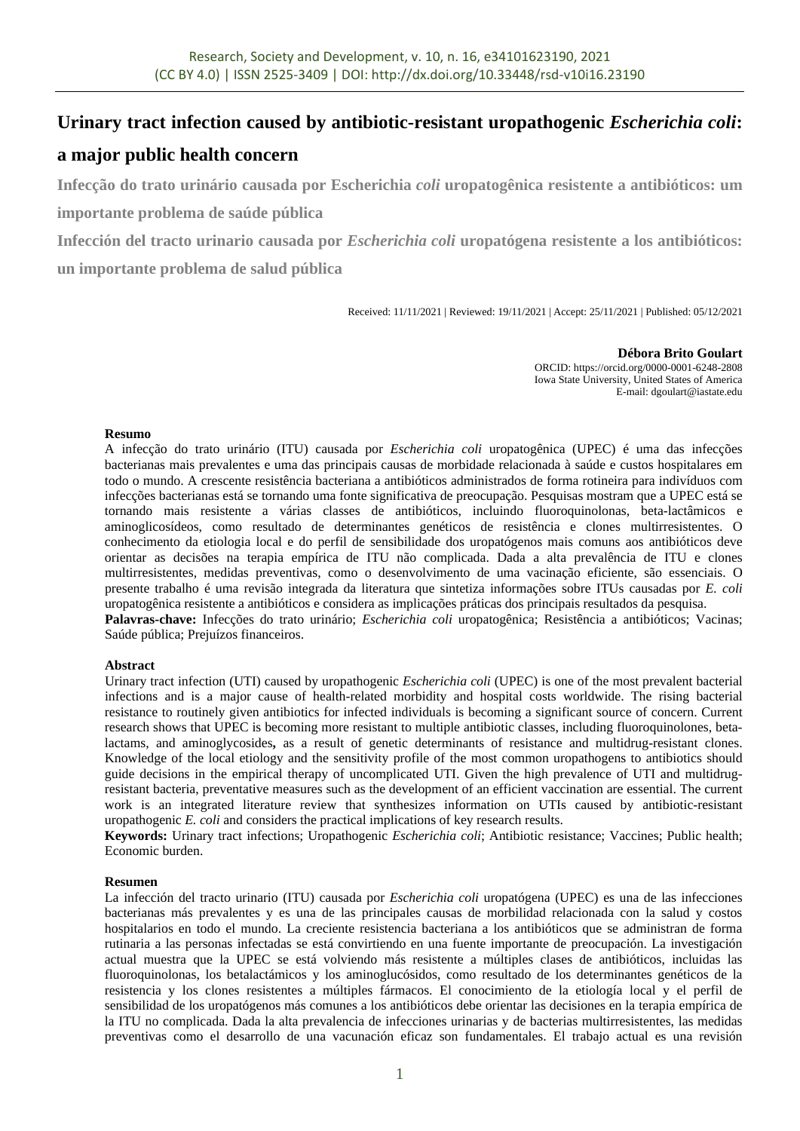# **Urinary tract infection caused by antibiotic-resistant uropathogenic** *Escherichia coli***:**

# **a major public health concern**

**Infecção do trato urinário causada por Escherichia** *coli* **uropatogênica resistente a antibióticos: um** 

**importante problema de saúde pública**

**Infección del tracto urinario causada por** *Escherichia coli* **uropatógena resistente a los antibióticos: un importante problema de salud pública**

Received: 11/11/2021 | Reviewed: 19/11/2021 | Accept: 25/11/2021 | Published: 05/12/2021

**Débora Brito Goulart** ORCID[: https://orcid.org/0000-0001-6248-2808](https://orcid.org/0000-0001-6248-2808) Iowa State University, United States of America E-mail: dgoulart@iastate.edu

# **Resumo**

A infecção do trato urinário (ITU) causada por *Escherichia coli* uropatogênica (UPEC) é uma das infecções bacterianas mais prevalentes e uma das principais causas de morbidade relacionada à saúde e custos hospitalares em todo o mundo. A crescente resistência bacteriana a antibióticos administrados de forma rotineira para indivíduos com infecções bacterianas está se tornando uma fonte significativa de preocupação. Pesquisas mostram que a UPEC está se tornando mais resistente a várias classes de antibióticos, incluindo fluoroquinolonas, beta-lactâmicos e aminoglicosídeos, como resultado de determinantes genéticos de resistência e clones multirresistentes. O conhecimento da etiologia local e do perfil de sensibilidade dos uropatógenos mais comuns aos antibióticos deve orientar as decisões na terapia empírica de ITU não complicada. Dada a alta prevalência de ITU e clones multirresistentes, medidas preventivas, como o desenvolvimento de uma vacinação eficiente, são essenciais. O presente trabalho é uma revisão integrada da literatura que sintetiza informações sobre ITUs causadas por *E. coli* uropatogênica resistente a antibióticos e considera as implicações práticas dos principais resultados da pesquisa. **Palavras-chave:** Infecções do trato urinário; *Escherichia coli* uropatogênica; Resistência a antibióticos; Vacinas; Saúde pública; Prejuízos financeiros.

# **Abstract**

Urinary tract infection (UTI) caused by uropathogenic *Escherichia coli* (UPEC) is one of the most prevalent bacterial infections and is a major cause of health-related morbidity and hospital costs worldwide. The rising bacterial resistance to routinely given antibiotics for infected individuals is becoming a significant source of concern. Current research shows that UPEC is becoming more resistant to multiple antibiotic classes, including fluoroquinolones, betalactams, and aminoglycosides**,** as a result of genetic determinants of resistance and multidrug-resistant clones. Knowledge of the local etiology and the sensitivity profile of the most common uropathogens to antibiotics should guide decisions in the empirical therapy of uncomplicated UTI. Given the high prevalence of UTI and multidrugresistant bacteria, preventative measures such as the development of an efficient vaccination are essential. The current work is an integrated literature review that synthesizes information on UTIs caused by antibiotic-resistant uropathogenic *E. coli* and considers the practical implications of key research results.

**Keywords:** Urinary tract infections; Uropathogenic *Escherichia coli*; Antibiotic resistance; Vaccines; Public health; Economic burden.

# **Resumen**

La infección del tracto urinario (ITU) causada por *Escherichia coli* uropatógena (UPEC) es una de las infecciones bacterianas más prevalentes y es una de las principales causas de morbilidad relacionada con la salud y costos hospitalarios en todo el mundo. La creciente resistencia bacteriana a los antibióticos que se administran de forma rutinaria a las personas infectadas se está convirtiendo en una fuente importante de preocupación. La investigación actual muestra que la UPEC se está volviendo más resistente a múltiples clases de antibióticos, incluidas las fluoroquinolonas, los betalactámicos y los aminoglucósidos, como resultado de los determinantes genéticos de la resistencia y los clones resistentes a múltiples fármacos. El conocimiento de la etiología local y el perfil de sensibilidad de los uropatógenos más comunes a los antibióticos debe orientar las decisiones en la terapia empírica de la ITU no complicada. Dada la alta prevalencia de infecciones urinarias y de bacterias multirresistentes, las medidas preventivas como el desarrollo de una vacunación eficaz son fundamentales. El trabajo actual es una revisión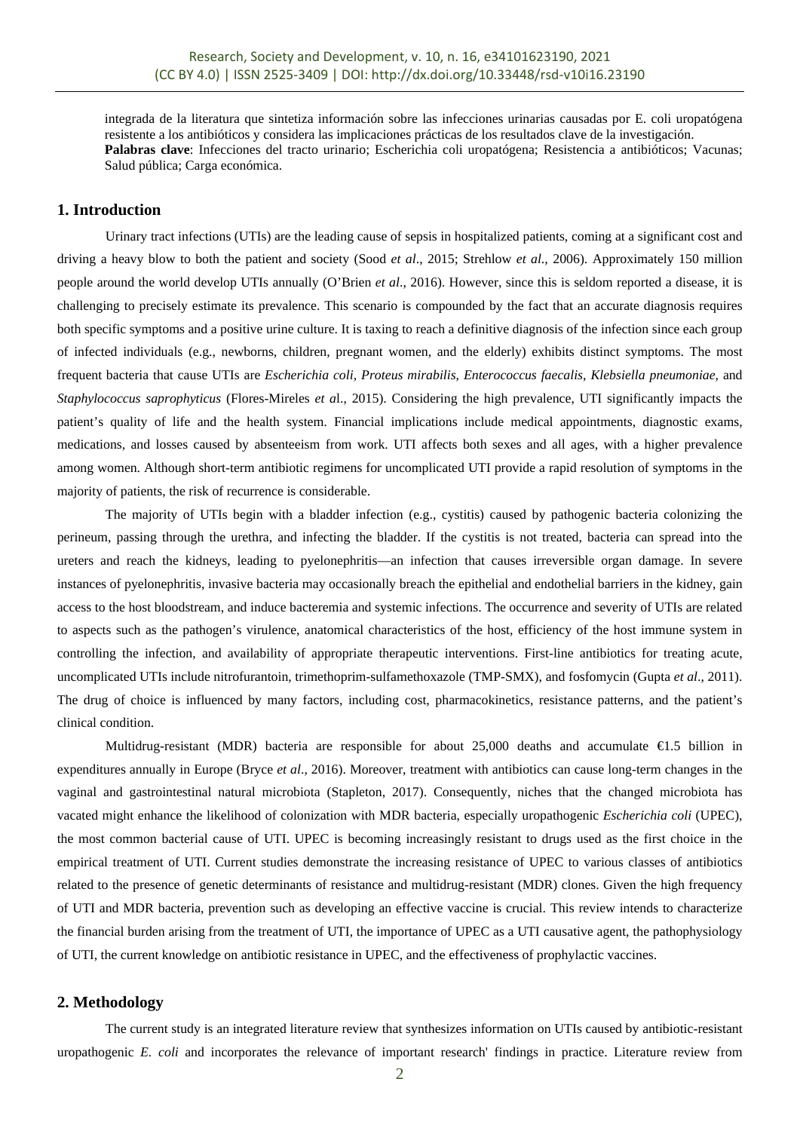integrada de la literatura que sintetiza información sobre las infecciones urinarias causadas por E. coli uropatógena resistente a los antibióticos y considera las implicaciones prácticas de los resultados clave de la investigación. **Palabras clave**: Infecciones del tracto urinario; Escherichia coli uropatógena; Resistencia a antibióticos; Vacunas; Salud pública; Carga económica.

# **1. Introduction**

Urinary tract infections (UTIs) are the leading cause of sepsis in hospitalized patients, coming at a significant cost and driving a heavy blow to both the patient and society (Sood *et al*., 2015; Strehlow *et al*., 2006). Approximately 150 million people around the world develop UTIs annually (O'Brien *et al*., 2016). However, since this is seldom reported a disease, it is challenging to precisely estimate its prevalence. This scenario is compounded by the fact that an accurate diagnosis requires both specific symptoms and a positive urine culture. It is taxing to reach a definitive diagnosis of the infection since each group of infected individuals (e.g., newborns, children, pregnant women, and the elderly) exhibits distinct symptoms. The most frequent bacteria that cause UTIs are *Escherichia coli*, *Proteus mirabilis*, *Enterococcus faecalis*, *Klebsiella pneumoniae,* and *Staphylococcus saprophyticus* (Flores-Mireles *et a*l., 2015). Considering the high prevalence, UTI significantly impacts the patient's quality of life and the health system. Financial implications include medical appointments, diagnostic exams, medications, and losses caused by absenteeism from work. UTI affects both sexes and all ages, with a higher prevalence among women. Although short-term antibiotic regimens for uncomplicated UTI provide a rapid resolution of symptoms in the majority of patients, the risk of recurrence is considerable.

The majority of UTIs begin with a bladder infection (e.g., cystitis) caused by pathogenic bacteria colonizing the perineum, passing through the urethra, and infecting the bladder. If the cystitis is not treated, bacteria can spread into the ureters and reach the kidneys, leading to pyelonephritis—an infection that causes irreversible organ damage. In severe instances of pyelonephritis, invasive bacteria may occasionally breach the epithelial and endothelial barriers in the kidney, gain access to the host bloodstream, and induce bacteremia and systemic infections. The occurrence and severity of UTIs are related to aspects such as the pathogen's virulence, anatomical characteristics of the host, efficiency of the host immune system in controlling the infection, and availability of appropriate therapeutic interventions. First-line antibiotics for treating acute, uncomplicated UTIs include nitrofurantoin, trimethoprim-sulfamethoxazole (TMP-SMX), and fosfomycin (Gupta *et al*., 2011). The drug of choice is influenced by many factors, including cost, pharmacokinetics, resistance patterns, and the patient's clinical condition.

Multidrug-resistant (MDR) bacteria are responsible for about 25,000 deaths and accumulate  $\bigoplus$ .5 billion in expenditures annually in Europe (Bryce *et al*., 2016). Moreover, treatment with antibiotics can cause long-term changes in the vaginal and gastrointestinal natural microbiota (Stapleton, 2017). Consequently, niches that the changed microbiota has vacated might enhance the likelihood of colonization with MDR bacteria, especially uropathogenic *Escherichia coli* (UPEC), the most common bacterial cause of UTI. UPEC is becoming increasingly resistant to drugs used as the first choice in the empirical treatment of UTI. Current studies demonstrate the increasing resistance of UPEC to various classes of antibiotics related to the presence of genetic determinants of resistance and multidrug-resistant (MDR) clones. Given the high frequency of UTI and MDR bacteria, prevention such as developing an effective vaccine is crucial. This review intends to characterize the financial burden arising from the treatment of UTI, the importance of UPEC as a UTI causative agent, the pathophysiology of UTI, the current knowledge on antibiotic resistance in UPEC, and the effectiveness of prophylactic vaccines.

# **2. Methodology**

The current study is an integrated literature review that synthesizes information on UTIs caused by antibiotic-resistant uropathogenic *E. coli* and incorporates the relevance of important research' findings in practice. Literature review from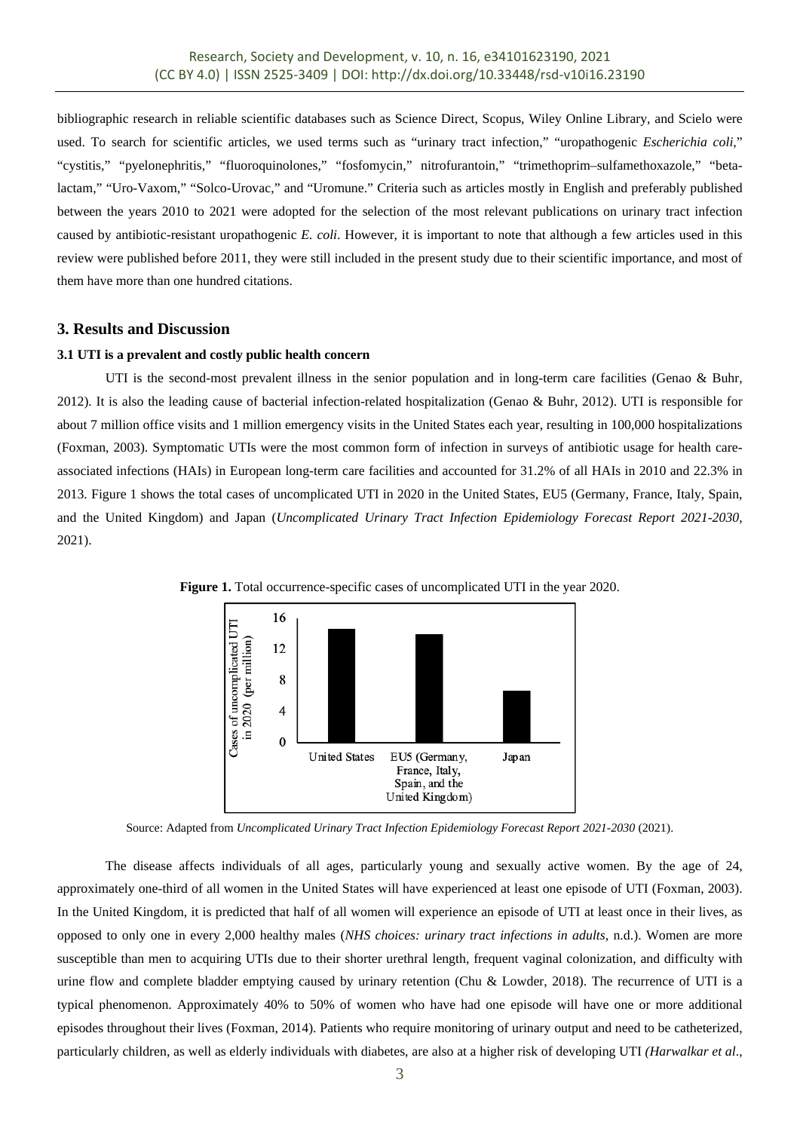bibliographic research in reliable scientific databases such as Science Direct, Scopus, Wiley Online Library, and Scielo were used. To search for scientific articles, we used terms such as "urinary tract infection," "uropathogenic *Escherichia coli*," "cystitis," "pyelonephritis," "fluoroquinolones," "fosfomycin," nitrofurantoin," "trimethoprim–sulfamethoxazole," "betalactam," "Uro-Vaxom," "Solco-Urovac," and "Uromune." Criteria such as articles mostly in English and preferably published between the years 2010 to 2021 were adopted for the selection of the most relevant publications on urinary tract infection caused by antibiotic-resistant uropathogenic *E. coli*. However, it is important to note that although a few articles used in this review were published before 2011, they were still included in the present study due to their scientific importance, and most of them have more than one hundred citations.

# **3. Results and Discussion**

# **3.1 UTI is a prevalent and costly public health concern**

UTI is the second-most prevalent illness in the senior population and in long-term care facilities (Genao & Buhr, 2012). It is also the leading cause of bacterial infection-related hospitalization (Genao & Buhr, 2012). UTI is responsible for about 7 million office visits and 1 million emergency visits in the United States each year, resulting in 100,000 hospitalizations (Foxman, 2003). Symptomatic UTIs were the most common form of infection in surveys of antibiotic usage for health careassociated infections (HAIs) in European long-term care facilities and accounted for 31.2% of all HAIs in 2010 and 22.3% in 2013. Figure 1 shows the total cases of uncomplicated UTI in 2020 in the United States, EU5 (Germany, France, Italy, Spain, and the United Kingdom) and Japan (*Uncomplicated Urinary Tract Infection Epidemiology Forecast Report 2021-2030*, 2021).



**Figure 1.** Total occurrence-specific cases of uncomplicated UTI in the year 2020.

Source: Adapted from *Uncomplicated Urinary Tract Infection Epidemiology Forecast Report 2021-2030* (2021).

The disease affects individuals of all ages, particularly young and sexually active women. By the age of 24, approximately one-third of all women in the United States will have experienced at least one episode of UTI (Foxman, 2003). In the United Kingdom, it is predicted that half of all women will experience an episode of UTI at least once in their lives, as opposed to only one in every 2,000 healthy males (*NHS choices: urinary tract infections in adults*, n.d.). Women are more susceptible than men to acquiring UTIs due to their shorter urethral length, frequent vaginal colonization, and difficulty with urine flow and complete bladder emptying caused by urinary retention (Chu & Lowder, 2018). The recurrence of UTI is a typical phenomenon. Approximately 40% to 50% of women who have had one episode will have one or more additional episodes throughout their lives (Foxman, 2014). Patients who require monitoring of urinary output and need to be catheterized, particularly children, as well as elderly individuals with diabetes, are also at a higher risk of developing UTI *(Harwalkar et al*.,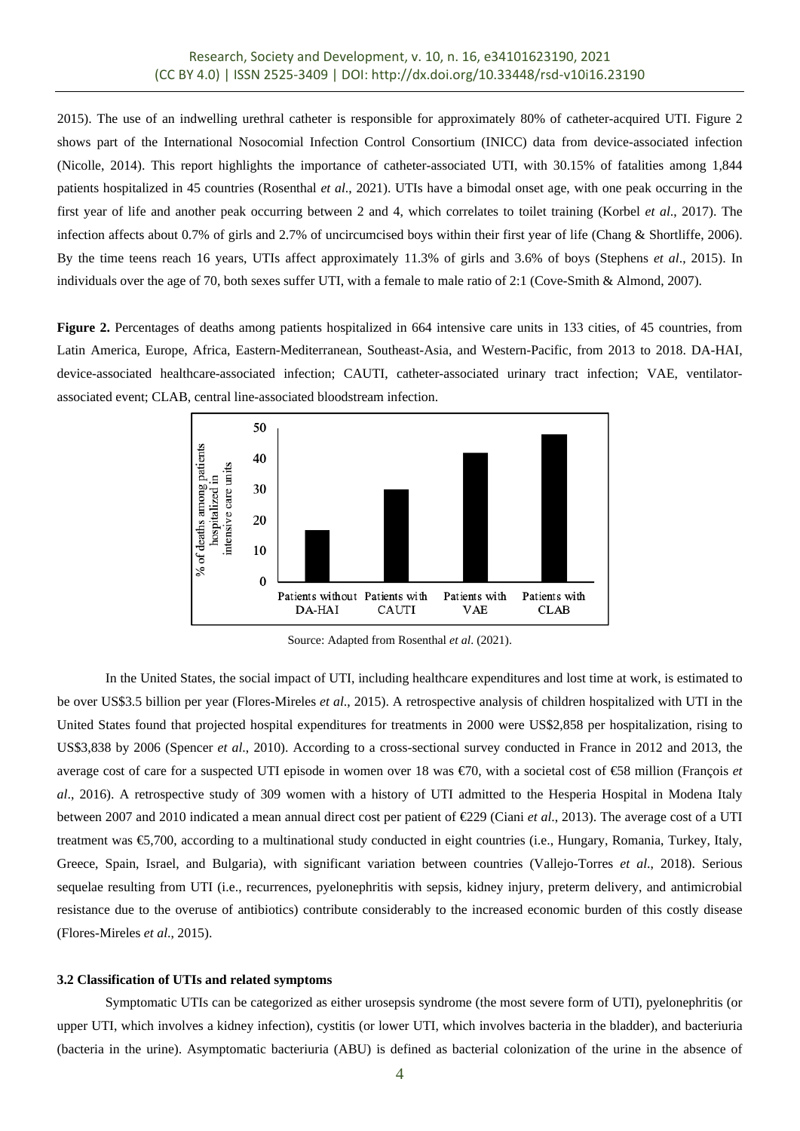2015). The use of an indwelling urethral catheter is responsible for approximately 80% of catheter-acquired UTI. Figure 2 shows part of the International Nosocomial Infection Control Consortium (INICC) data from device-associated infection (Nicolle, 2014). This report highlights the importance of catheter-associated UTI, with 30.15% of fatalities among 1,844 patients hospitalized in 45 countries (Rosenthal *et al*., 2021). UTIs have a bimodal onset age, with one peak occurring in the first year of life and another peak occurring between 2 and 4, which correlates to toilet training (Korbel *et al*., 2017). The infection affects about 0.7% of girls and 2.7% of uncircumcised boys within their first year of life (Chang & Shortliffe, 2006). By the time teens reach 16 years, UTIs affect approximately 11.3% of girls and 3.6% of boys (Stephens *et al*., 2015). In individuals over the age of 70, both sexes suffer UTI, with a female to male ratio of 2:1 (Cove-Smith & Almond, 2007).

**Figure 2.** Percentages of deaths among patients hospitalized in 664 intensive care units in 133 cities, of 45 countries, from Latin America, Europe, Africa, Eastern-Mediterranean, Southeast-Asia, and Western-Pacific, from 2013 to 2018. DA-HAI, device-associated healthcare-associated infection; CAUTI, catheter-associated urinary tract infection; VAE, ventilatorassociated event; CLAB, central line-associated bloodstream infection.



Source: Adapted from Rosenthal *et al*. (2021).

In the United States, the social impact of UTI, including healthcare expenditures and lost time at work, is estimated to be over US\$3.5 billion per year (Flores-Mireles *et al*., 2015). A retrospective analysis of children hospitalized with UTI in the United States found that projected hospital expenditures for treatments in 2000 were US\$2,858 per hospitalization, rising to US\$3,838 by 2006 (Spencer *et al*., 2010). According to a cross-sectional survey conducted in France in 2012 and 2013, the average cost of care for a suspected UTI episode in women over 18 was €70, with a societal cost of €58 million (François *et al*., 2016). A retrospective study of 309 women with a history of UTI admitted to the Hesperia Hospital in Modena Italy between 2007 and 2010 indicated a mean annual direct cost per patient of €229 (Ciani *et al*., 2013). The average cost of a UTI treatment was €5,700, according to a multinational study conducted in eight countries (i.e., Hungary, Romania, Turkey, Italy, Greece, Spain, Israel, and Bulgaria), with significant variation between countries (Vallejo-Torres *et al*., 2018). Serious sequelae resulting from UTI (i.e., recurrences, pyelonephritis with sepsis, kidney injury, preterm delivery, and antimicrobial resistance due to the overuse of antibiotics) contribute considerably to the increased economic burden of this costly disease (Flores-Mireles *et al*., 2015).

#### **3.2 Classification of UTIs and related symptoms**

Symptomatic UTIs can be categorized as either urosepsis syndrome (the most severe form of UTI), pyelonephritis (or upper UTI, which involves a kidney infection), cystitis (or lower UTI, which involves bacteria in the bladder), and bacteriuria (bacteria in the urine). Asymptomatic bacteriuria (ABU) is defined as bacterial colonization of the urine in the absence of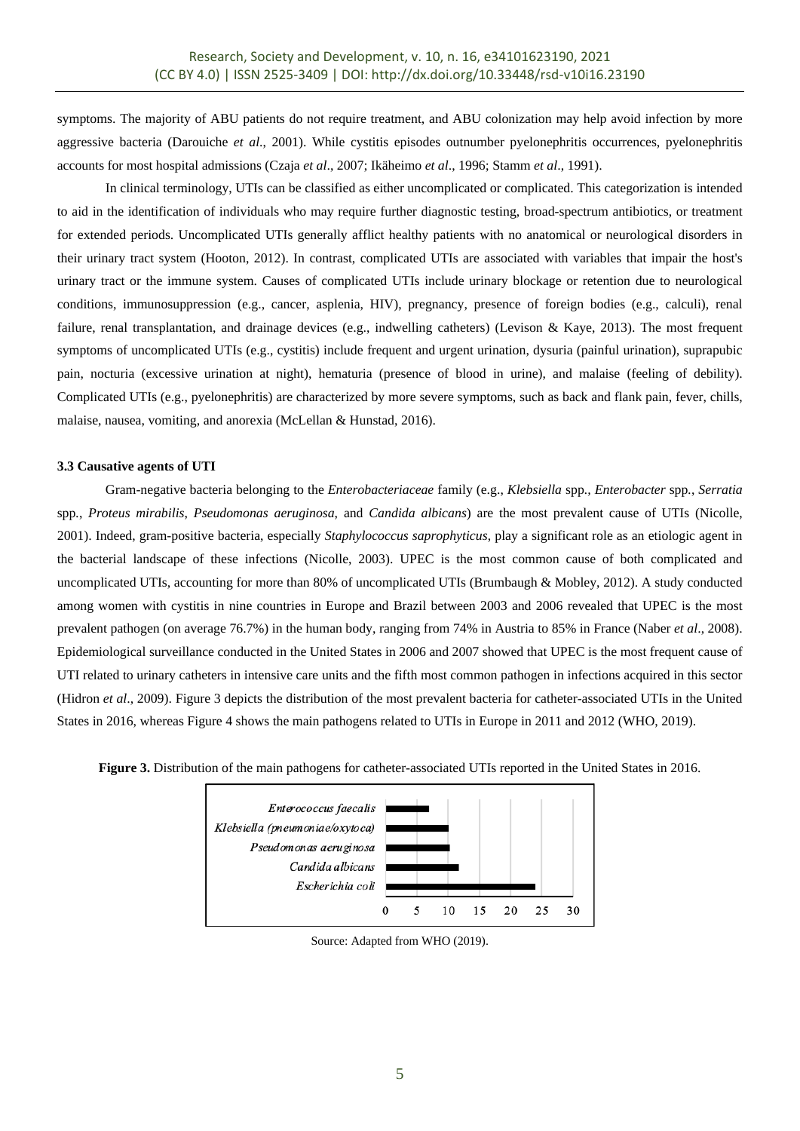symptoms. The majority of ABU patients do not require treatment, and ABU colonization may help avoid infection by more aggressive bacteria (Darouiche *et al*., 2001). While cystitis episodes outnumber pyelonephritis occurrences, pyelonephritis accounts for most hospital admissions (Czaja *et al*., 2007; Ikäheimo *et al*., 1996; Stamm *et al*., 1991).

In clinical terminology, UTIs can be classified as either uncomplicated or complicated. This categorization is intended to aid in the identification of individuals who may require further diagnostic testing, broad-spectrum antibiotics, or treatment for extended periods. Uncomplicated UTIs generally afflict healthy patients with no anatomical or neurological disorders in their urinary tract system (Hooton, 2012). In contrast, complicated UTIs are associated with variables that impair the host's urinary tract or the immune system. Causes of complicated UTIs include urinary blockage or retention due to neurological conditions, immunosuppression (e.g., cancer, asplenia, HIV), pregnancy, presence of foreign bodies (e.g., calculi), renal failure, renal transplantation, and drainage devices (e.g., indwelling catheters) (Levison & Kaye, 2013). The most frequent symptoms of uncomplicated UTIs (e.g., cystitis) include frequent and urgent urination, dysuria (painful urination), suprapubic pain, nocturia (excessive urination at night), hematuria (presence of blood in urine), and malaise (feeling of debility). Complicated UTIs (e.g., pyelonephritis) are characterized by more severe symptoms, such as back and flank pain, fever, chills, malaise, nausea, vomiting, and anorexia (McLellan & Hunstad, 2016).

# **3.3 Causative agents of UTI**

Gram-negative bacteria belonging to the *Enterobacteriaceae* family (e.g., *Klebsiella* spp*., Enterobacter* spp*.*, *Serratia*  spp*.*, *Proteus mirabilis*, *Pseudomonas aeruginosa*, and *Candida albicans*) are the most prevalent cause of UTIs (Nicolle, 2001). Indeed, gram-positive bacteria, especially *Staphylococcus saprophyticus*, play a significant role as an etiologic agent in the bacterial landscape of these infections (Nicolle, 2003). UPEC is the most common cause of both complicated and uncomplicated UTIs, accounting for more than 80% of uncomplicated UTIs (Brumbaugh & Mobley, 2012). A study conducted among women with cystitis in nine countries in Europe and Brazil between 2003 and 2006 revealed that UPEC is the most prevalent pathogen (on average 76.7%) in the human body, ranging from 74% in Austria to 85% in France (Naber *et al*., 2008). Epidemiological surveillance conducted in the United States in 2006 and 2007 showed that UPEC is the most frequent cause of UTI related to urinary catheters in intensive care units and the fifth most common pathogen in infections acquired in this sector (Hidron *et al*., 2009). Figure 3 depicts the distribution of the most prevalent bacteria for catheter-associated UTIs in the United States in 2016, whereas Figure 4 shows the main pathogens related to UTIs in Europe in 2011 and 2012 (WHO, 2019).



**Figure 3.** Distribution of the main pathogens for catheter-associated UTIs reported in the United States in 2016.

Source: Adapted from WHO (2019).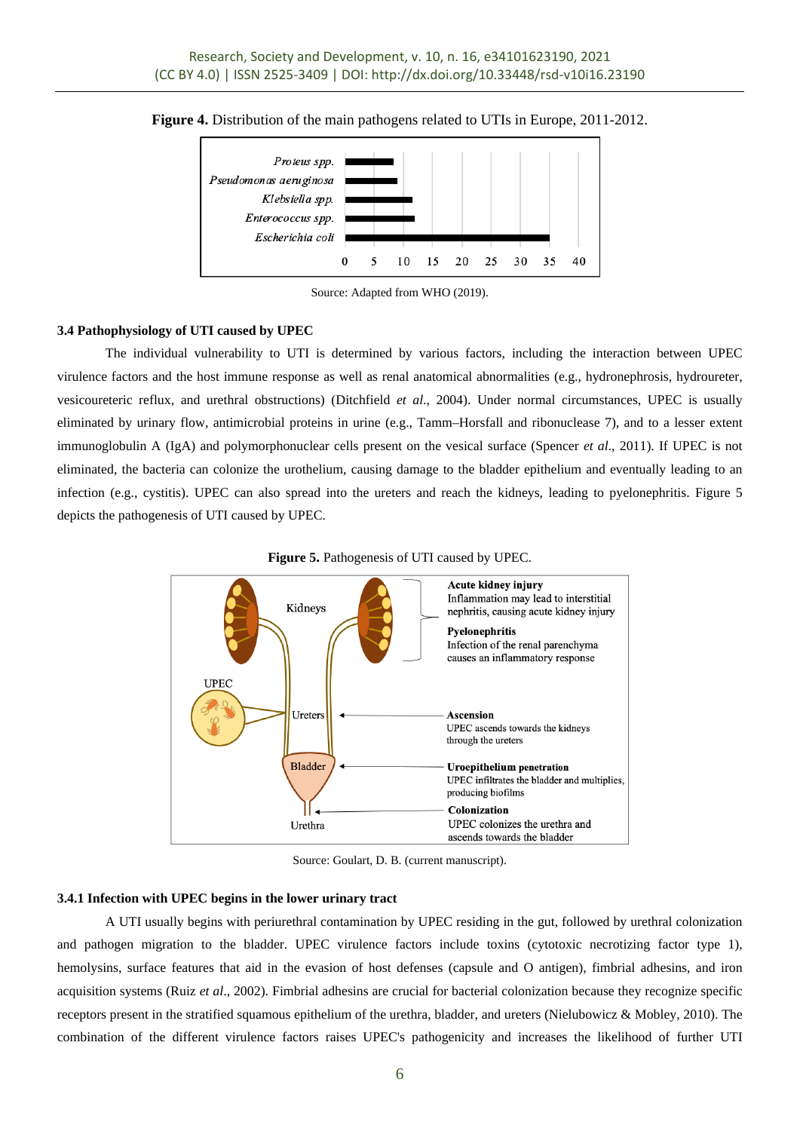

**Figure 4.** Distribution of the main pathogens related to UTIs in Europe, 2011-2012.

Source: Adapted from WHO (2019).

# **3.4 Pathophysiology of UTI caused by UPEC**

The individual vulnerability to UTI is determined by various factors, including the interaction between UPEC virulence factors and the host immune response as well as renal anatomical abnormalities (e.g., hydronephrosis, hydroureter, vesicoureteric reflux, and urethral obstructions) (Ditchfield *et al*., 2004). Under normal circumstances, UPEC is usually eliminated by urinary flow, antimicrobial proteins in urine (e.g., Tamm–Horsfall and ribonuclease 7), and to a lesser extent immunoglobulin A (IgA) and polymorphonuclear cells present on the vesical surface (Spencer *et al*., 2011). If UPEC is not eliminated, the bacteria can colonize the urothelium, causing damage to the bladder epithelium and eventually leading to an infection (e.g., cystitis). UPEC can also spread into the ureters and reach the kidneys, leading to pyelonephritis. Figure 5 depicts the pathogenesis of UTI caused by UPEC.



**Figure 5.** Pathogenesis of UTI caused by UPEC.

Source: Goulart, D. B. (current manuscript).

# **3.4.1 Infection with UPEC begins in the lower urinary tract**

A UTI usually begins with periurethral contamination by UPEC residing in the gut, followed by urethral colonization and pathogen migration to the bladder. UPEC virulence factors include toxins (cytotoxic necrotizing factor type 1), hemolysins, surface features that aid in the evasion of host defenses (capsule and O antigen), fimbrial adhesins, and iron acquisition systems (Ruiz *et al*., 2002). Fimbrial adhesins are crucial for bacterial colonization because they recognize specific receptors present in the stratified squamous epithelium of the urethra, bladder, and ureters (Nielubowicz & Mobley, 2010). The combination of the different virulence factors raises UPEC's pathogenicity and increases the likelihood of further UTI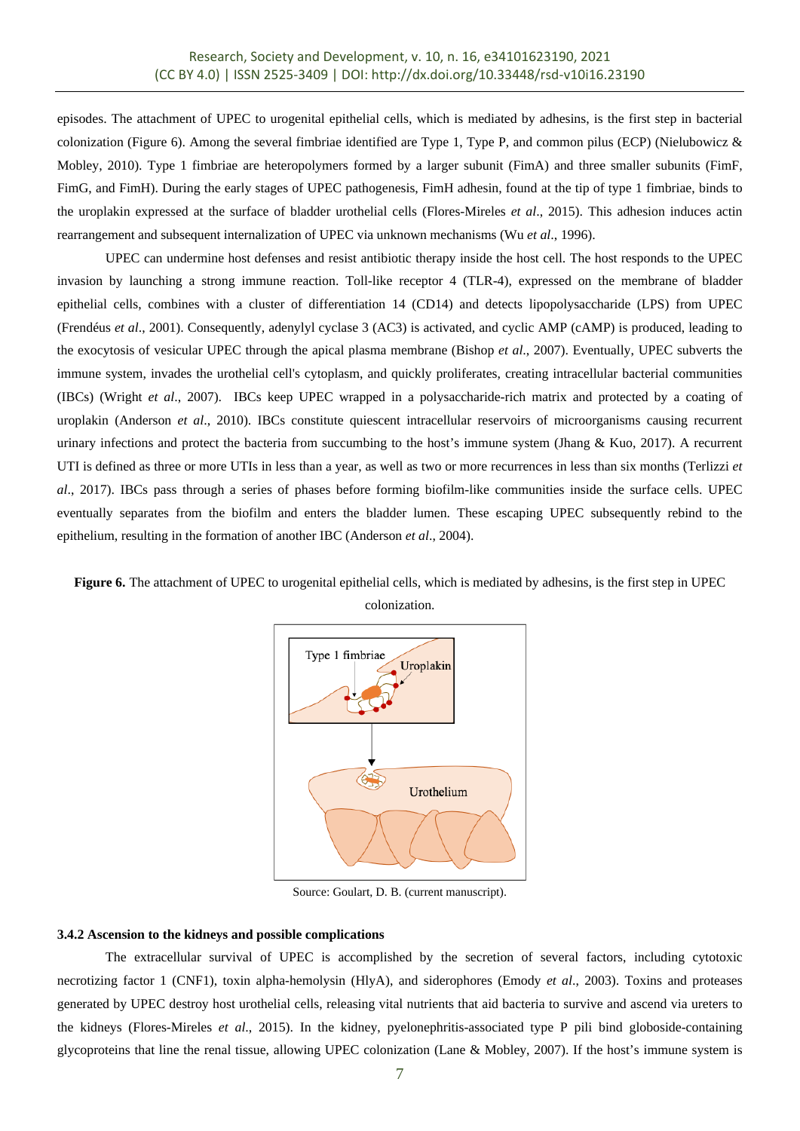episodes. The attachment of UPEC to urogenital epithelial cells, which is mediated by adhesins, is the first step in bacterial colonization (Figure 6). Among the several fimbriae identified are Type 1, Type P, and common pilus (ECP) (Nielubowicz  $\&$ Mobley, 2010). Type 1 fimbriae are heteropolymers formed by a larger subunit (FimA) and three smaller subunits (FimF, FimG, and FimH). During the early stages of UPEC pathogenesis, FimH adhesin, found at the tip of type 1 fimbriae, binds to the uroplakin expressed at the surface of bladder urothelial cells (Flores-Mireles *et al*., 2015). This adhesion induces actin rearrangement and subsequent internalization of UPEC via unknown mechanisms (Wu *et al*., 1996).

UPEC can undermine host defenses and resist antibiotic therapy inside the host cell. The host responds to the UPEC invasion by launching a strong immune reaction. Toll-like receptor 4 (TLR-4), expressed on the membrane of bladder epithelial cells, combines with a cluster of differentiation 14 (CD14) and detects lipopolysaccharide (LPS) from UPEC (Frendéus *et al*., 2001). Consequently, adenylyl cyclase 3 (AC3) is activated, and cyclic AMP (cAMP) is produced, leading to the exocytosis of vesicular UPEC through the apical plasma membrane (Bishop *et al*., 2007). Eventually, UPEC subverts the immune system, invades the urothelial cell's cytoplasm, and quickly proliferates, creating intracellular bacterial communities (IBCs) (Wright *et al*., 2007). IBCs keep UPEC wrapped in a polysaccharide-rich matrix and protected by a coating of uroplakin (Anderson *et al*., 2010). IBCs constitute quiescent intracellular reservoirs of microorganisms causing recurrent urinary infections and protect the bacteria from succumbing to the host's immune system (Jhang & Kuo, 2017). A recurrent UTI is defined as three or more UTIs in less than a year, as well as two or more recurrences in less than six months (Terlizzi *et al*., 2017). IBCs pass through a series of phases before forming biofilm-like communities inside the surface cells. UPEC eventually separates from the biofilm and enters the bladder lumen. These escaping UPEC subsequently rebind to the epithelium, resulting in the formation of another IBC (Anderson *et al*., 2004).



**Figure 6.** The attachment of UPEC to urogenital epithelial cells, which is mediated by adhesins, is the first step in UPEC

Source: Goulart, D. B. (current manuscript).

#### **3.4.2 Ascension to the kidneys and possible complications**

The extracellular survival of UPEC is accomplished by the secretion of several factors, including cytotoxic necrotizing factor 1 (CNF1), toxin alpha-hemolysin (HlyA), and siderophores (Emody *et al*., 2003). Toxins and proteases generated by UPEC destroy host urothelial cells, releasing vital nutrients that aid bacteria to survive and ascend via ureters to the kidneys (Flores-Mireles *et al*., 2015). In the kidney, pyelonephritis-associated type P pili bind globoside-containing glycoproteins that line the renal tissue, allowing UPEC colonization (Lane & Mobley, 2007). If the host's immune system is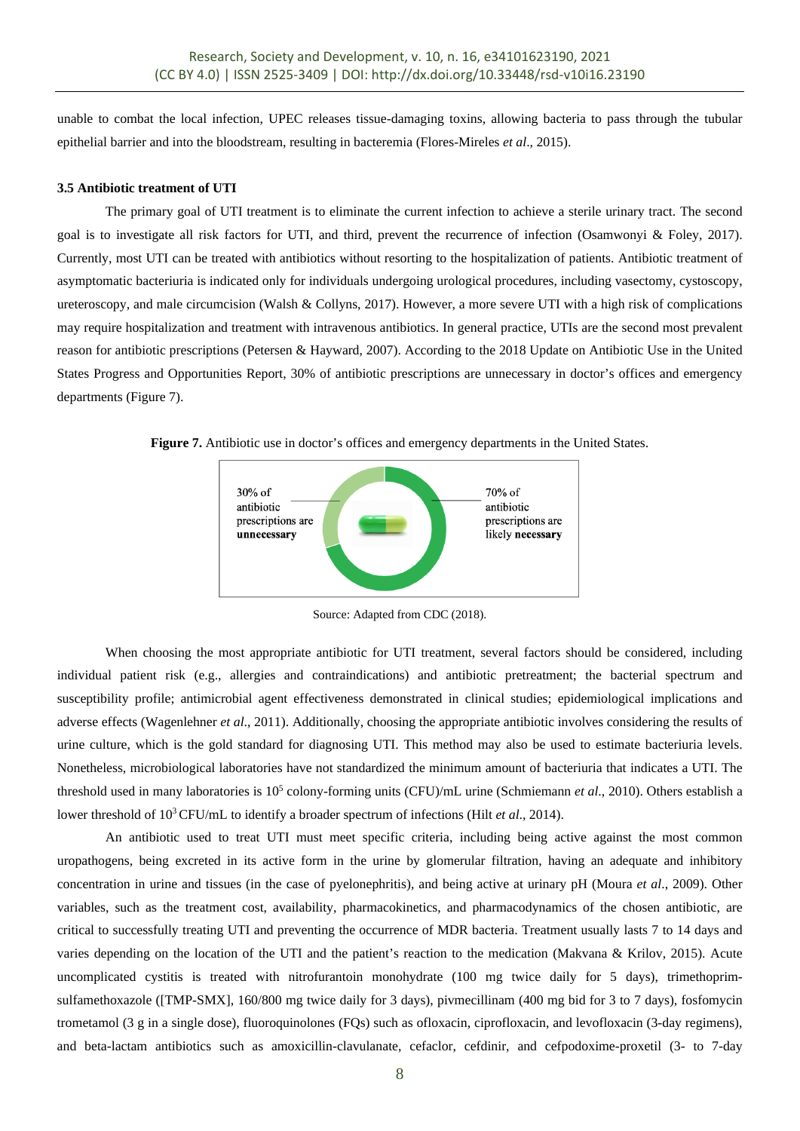unable to combat the local infection, UPEC releases tissue-damaging toxins, allowing bacteria to pass through the tubular epithelial barrier and into the bloodstream, resulting in bacteremia (Flores-Mireles *et al*., 2015).

#### **3.5 Antibiotic treatment of UTI**

The primary goal of UTI treatment is to eliminate the current infection to achieve a sterile urinary tract. The second goal is to investigate all risk factors for UTI, and third, prevent the recurrence of infection (Osamwonyi & Foley, 2017). Currently, most UTI can be treated with antibiotics without resorting to the hospitalization of patients. Antibiotic treatment of asymptomatic bacteriuria is indicated only for individuals undergoing urological procedures, including vasectomy, cystoscopy, ureteroscopy, and male circumcision (Walsh & Collyns, 2017). However, a more severe UTI with a high risk of complications may require hospitalization and treatment with intravenous antibiotics. In general practice, UTIs are the second most prevalent reason for antibiotic prescriptions (Petersen & Hayward, 2007). According to the 2018 Update on Antibiotic Use in the United States Progress and Opportunities Report, 30% of antibiotic prescriptions are unnecessary in doctor's offices and emergency departments (Figure 7).

**Figure 7.** Antibiotic use in doctor's offices and emergency departments in the United States.



Source: Adapted from CDC (2018).

When choosing the most appropriate antibiotic for UTI treatment, several factors should be considered, including individual patient risk (e.g., allergies and contraindications) and antibiotic pretreatment; the bacterial spectrum and susceptibility profile; antimicrobial agent effectiveness demonstrated in clinical studies; epidemiological implications and adverse effects (Wagenlehner *et al*., 2011). Additionally, choosing the appropriate antibiotic involves considering the results of urine culture, which is the gold standard for diagnosing UTI. This method may also be used to estimate bacteriuria levels. Nonetheless, microbiological laboratories have not standardized the minimum amount of bacteriuria that indicates a UTI. The threshold used in many laboratories is 105 colony-forming units (CFU)/mL urine (Schmiemann *et al*., 2010). Others establish a lower threshold of 103 CFU/mL to identify a broader spectrum of infections (Hilt *et al*., 2014).

An antibiotic used to treat UTI must meet specific criteria, including being active against the most common uropathogens, being excreted in its active form in the urine by glomerular filtration, having an adequate and inhibitory concentration in urine and tissues (in the case of pyelonephritis), and being active at urinary pH (Moura *et al*., 2009). Other variables, such as the treatment cost, availability, pharmacokinetics, and pharmacodynamics of the chosen antibiotic, are critical to successfully treating UTI and preventing the occurrence of MDR bacteria. Treatment usually lasts 7 to 14 days and varies depending on the location of the UTI and the patient's reaction to the medication (Makvana & Krilov, 2015). Acute uncomplicated cystitis is treated with nitrofurantoin monohydrate (100 mg twice daily for 5 days), trimethoprimsulfamethoxazole ([TMP-SMX], 160/800 mg twice daily for 3 days), pivmecillinam (400 mg bid for 3 to 7 days), fosfomycin trometamol (3 g in a single dose), fluoroquinolones (FQs) such as ofloxacin, ciprofloxacin, and levofloxacin (3-day regimens), and beta-lactam antibiotics such as amoxicillin-clavulanate, cefaclor, cefdinir, and cefpodoxime-proxetil (3- to 7-day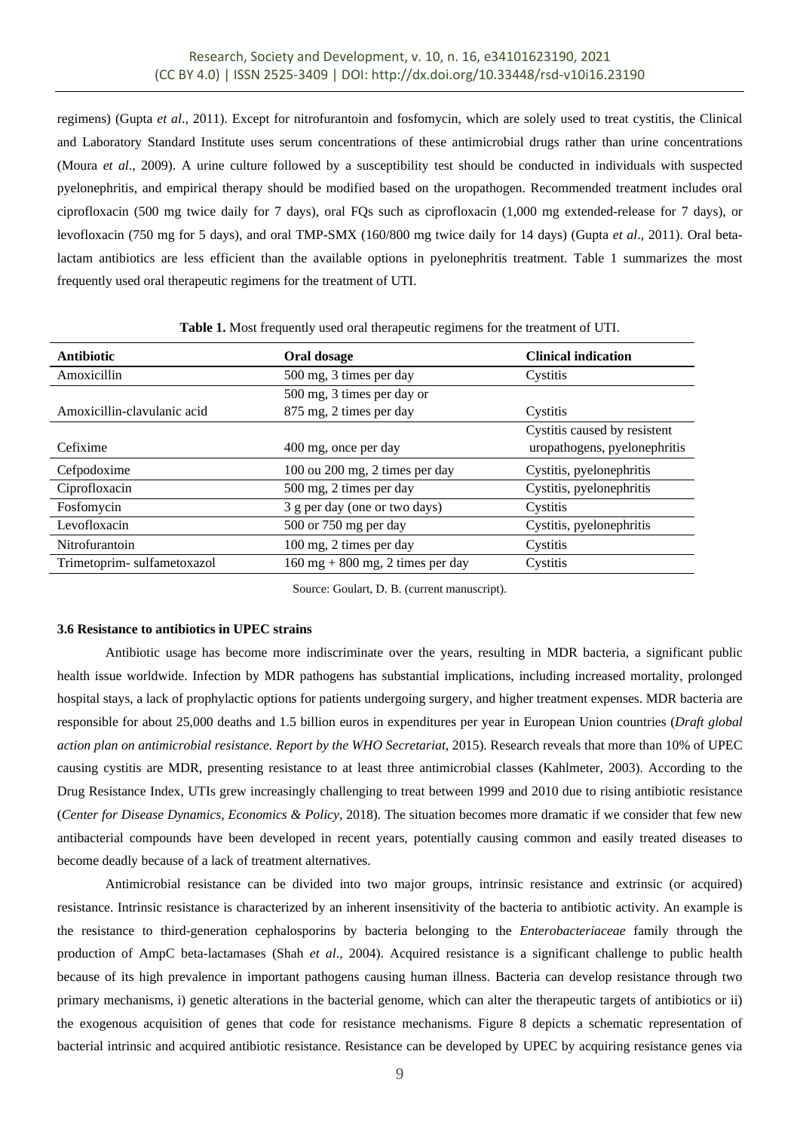regimens) (Gupta *et al*., 2011). Except for nitrofurantoin and fosfomycin, which are solely used to treat cystitis, the Clinical and Laboratory Standard Institute uses serum concentrations of these antimicrobial drugs rather than urine concentrations (Moura *et al*., 2009). A urine culture followed by a susceptibility test should be conducted in individuals with suspected pyelonephritis, and empirical therapy should be modified based on the uropathogen. Recommended treatment includes oral ciprofloxacin (500 mg twice daily for 7 days), oral FQs such as ciprofloxacin (1,000 mg extended-release for 7 days), or levofloxacin (750 mg for 5 days), and oral TMP-SMX (160/800 mg twice daily for 14 days) (Gupta *et al*., 2011). Oral betalactam antibiotics are less efficient than the available options in pyelonephritis treatment. Table 1 summarizes the most frequently used oral therapeutic regimens for the treatment of UTI.

| <b>Antibiotic</b>           | Oral dosage                                         | <b>Clinical indication</b>   |  |
|-----------------------------|-----------------------------------------------------|------------------------------|--|
| Amoxicillin                 | 500 mg, 3 times per day                             | Cystitis                     |  |
|                             | 500 mg, 3 times per day or                          |                              |  |
| Amoxicillin-clavulanic acid | 875 mg, 2 times per day                             | Cystitis                     |  |
|                             |                                                     | Cystitis caused by resistent |  |
| Cefixime                    | 400 mg, once per day                                | uropathogens, pyelonephritis |  |
| Cefpodoxime                 | 100 ou 200 mg, 2 times per day                      | Cystitis, pyelonephritis     |  |
| Ciprofloxacin               | 500 mg, 2 times per day                             | Cystitis, pyelonephritis     |  |
| Fosfomycin                  | 3 g per day (one or two days)                       | Cystitis                     |  |
| Levofloxacin                | 500 or 750 mg per day                               | Cystitis, pyelonephritis     |  |
| Nitrofurantoin              | 100 mg, 2 times per day                             | Cystitis                     |  |
| Trimetoprim-sulfametoxazol  | $160 \text{ mg} + 800 \text{ mg}$ , 2 times per day | Cystitis                     |  |

**Table 1.** Most frequently used oral therapeutic regimens for the treatment of UTI.

Source: Goulart, D. B. (current manuscript).

#### **3.6 Resistance to antibiotics in UPEC strains**

Antibiotic usage has become more indiscriminate over the years, resulting in MDR bacteria, a significant public health issue worldwide. Infection by MDR pathogens has substantial implications, including increased mortality, prolonged hospital stays, a lack of prophylactic options for patients undergoing surgery, and higher treatment expenses. MDR bacteria are responsible for about 25,000 deaths and 1.5 billion euros in expenditures per year in European Union countries (*Draft global action plan on antimicrobial resistance. Report by the WHO Secretariat*, 2015). Research reveals that more than 10% of UPEC causing cystitis are MDR, presenting resistance to at least three antimicrobial classes (Kahlmeter, 2003). According to the Drug Resistance Index, UTIs grew increasingly challenging to treat between 1999 and 2010 due to rising antibiotic resistance (*Center for Disease Dynamics, Economics & Policy*, 2018). The situation becomes more dramatic if we consider that few new antibacterial compounds have been developed in recent years, potentially causing common and easily treated diseases to become deadly because of a lack of treatment alternatives.

Antimicrobial resistance can be divided into two major groups, intrinsic resistance and extrinsic (or acquired) resistance. Intrinsic resistance is characterized by an inherent insensitivity of the bacteria to antibiotic activity. An example is the resistance to third-generation cephalosporins by bacteria belonging to the *Enterobacteriaceae* family through the production of AmpC beta-lactamases (Shah *et al*., 2004). Acquired resistance is a significant challenge to public health because of its high prevalence in important pathogens causing human illness. Bacteria can develop resistance through two primary mechanisms, i) genetic alterations in the bacterial genome, which can alter the therapeutic targets of antibiotics or ii) the exogenous acquisition of genes that code for resistance mechanisms. Figure 8 depicts a schematic representation of bacterial intrinsic and acquired antibiotic resistance. Resistance can be developed by UPEC by acquiring resistance genes via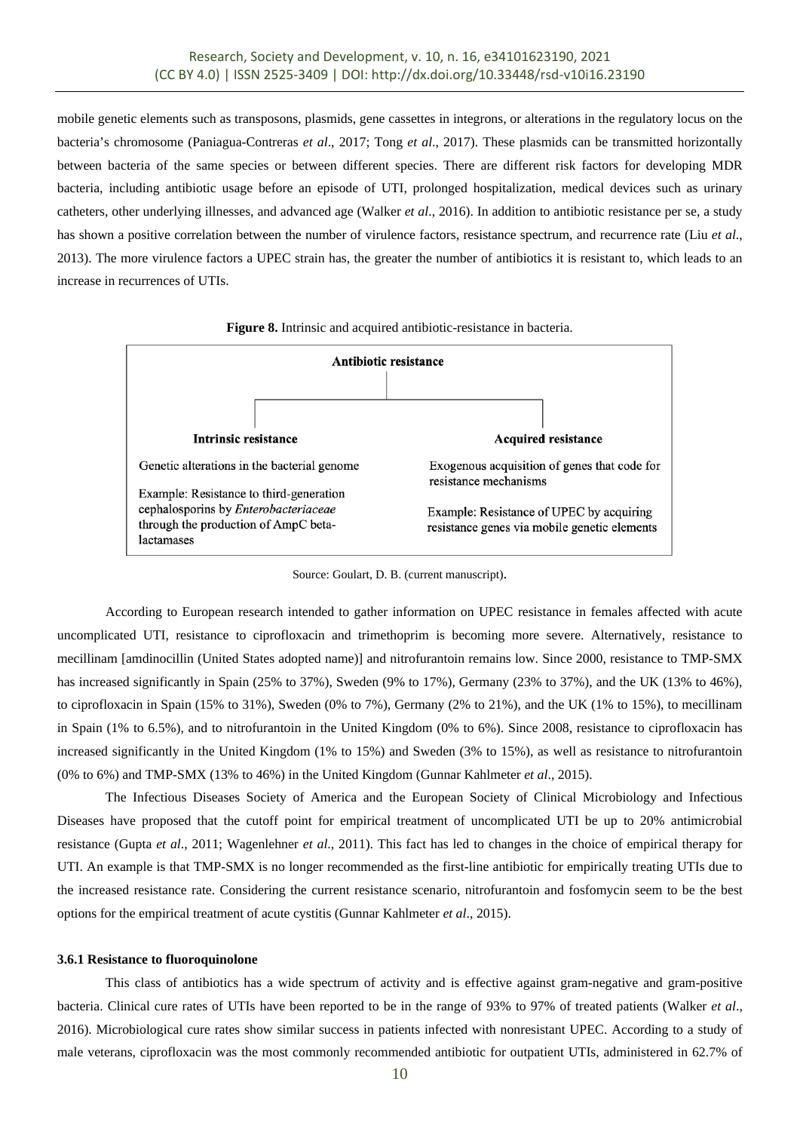mobile genetic elements such as transposons, plasmids, gene cassettes in integrons, or alterations in the regulatory locus on the bacteria's chromosome (Paniagua-Contreras *et al*., 2017; Tong *et al*., 2017). These plasmids can be transmitted horizontally between bacteria of the same species or between different species. There are different risk factors for developing MDR bacteria, including antibiotic usage before an episode of UTI, prolonged hospitalization, medical devices such as urinary catheters, other underlying illnesses, and advanced age (Walker *et al*., 2016). In addition to antibiotic resistance per se, a study has shown a positive correlation between the number of virulence factors, resistance spectrum, and recurrence rate (Liu *et al*., 2013). The more virulence factors a UPEC strain has, the greater the number of antibiotics it is resistant to, which leads to an increase in recurrences of UTIs.



**Figure 8.** Intrinsic and acquired antibiotic-resistance in bacteria.

Source: Goulart, D. B. (current manuscript).

According to European research intended to gather information on UPEC resistance in females affected with acute uncomplicated UTI, resistance to ciprofloxacin and trimethoprim is becoming more severe. Alternatively, resistance to mecillinam [amdinocillin (United States adopted name)] and nitrofurantoin remains low. Since 2000, resistance to TMP-SMX has increased significantly in Spain (25% to 37%), Sweden (9% to 17%), Germany (23% to 37%), and the UK (13% to 46%), to ciprofloxacin in Spain (15% to 31%), Sweden (0% to 7%), Germany (2% to 21%), and the UK (1% to 15%), to mecillinam in Spain (1% to 6.5%), and to nitrofurantoin in the United Kingdom (0% to 6%). Since 2008, resistance to ciprofloxacin has increased significantly in the United Kingdom (1% to 15%) and Sweden (3% to 15%), as well as resistance to nitrofurantoin (0% to 6%) and TMP-SMX (13% to 46%) in the United Kingdom (Gunnar Kahlmeter *et al*., 2015).

The Infectious Diseases Society of America and the European Society of Clinical Microbiology and Infectious Diseases have proposed that the cutoff point for empirical treatment of uncomplicated UTI be up to 20% antimicrobial resistance (Gupta *et al*., 2011; Wagenlehner *et al*., 2011). This fact has led to changes in the choice of empirical therapy for UTI. An example is that TMP-SMX is no longer recommended as the first-line antibiotic for empirically treating UTIs due to the increased resistance rate. Considering the current resistance scenario, nitrofurantoin and fosfomycin seem to be the best options for the empirical treatment of acute cystitis (Gunnar Kahlmeter *et al*., 2015).

#### **3.6.1 Resistance to fluoroquinolone**

This class of antibiotics has a wide spectrum of activity and is effective against gram-negative and gram-positive bacteria. Clinical cure rates of UTIs have been reported to be in the range of 93% to 97% of treated patients (Walker *et al*., 2016). Microbiological cure rates show similar success in patients infected with nonresistant UPEC. According to a study of male veterans, ciprofloxacin was the most commonly recommended antibiotic for outpatient UTIs, administered in 62.7% of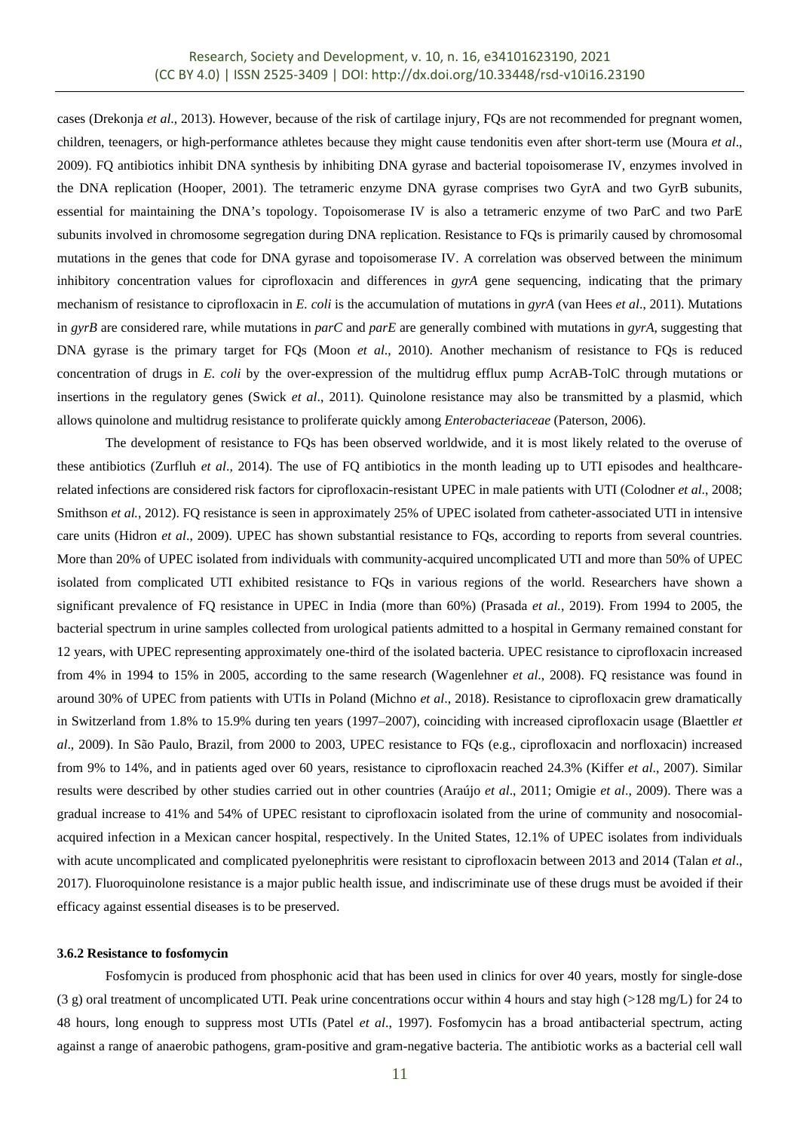cases (Drekonja *et al*., 2013). However, because of the risk of cartilage injury, FQs are not recommended for pregnant women, children, teenagers, or high-performance athletes because they might cause tendonitis even after short-term use (Moura *et al*., 2009). FQ antibiotics inhibit DNA synthesis by inhibiting DNA gyrase and bacterial topoisomerase IV, enzymes involved in the DNA replication (Hooper, 2001). The tetrameric enzyme DNA gyrase comprises two GyrA and two GyrB subunits, essential for maintaining the DNA's topology. Topoisomerase IV is also a tetrameric enzyme of two ParC and two ParE subunits involved in chromosome segregation during DNA replication. Resistance to FQs is primarily caused by chromosomal mutations in the genes that code for DNA gyrase and topoisomerase IV. A correlation was observed between the minimum inhibitory concentration values for ciprofloxacin and differences in *gyrA* gene sequencing, indicating that the primary mechanism of resistance to ciprofloxacin in *E. coli* is the accumulation of mutations in *gyrA* (van Hees *et al*., 2011). Mutations in *gyrB* are considered rare, while mutations in *parC* and *parE* are generally combined with mutations in *gyrA*, suggesting that DNA gyrase is the primary target for FQs (Moon *et al*., 2010). Another mechanism of resistance to FQs is reduced concentration of drugs in *E. coli* by the over-expression of the multidrug efflux pump AcrAB-TolC through mutations or insertions in the regulatory genes (Swick *et al*., 2011). Quinolone resistance may also be transmitted by a plasmid, which allows quinolone and multidrug resistance to proliferate quickly among *Enterobacteriaceae* (Paterson, 2006).

The development of resistance to FQs has been observed worldwide, and it is most likely related to the overuse of these antibiotics (Zurfluh *et al*., 2014). The use of FQ antibiotics in the month leading up to UTI episodes and healthcarerelated infections are considered risk factors for ciprofloxacin-resistant UPEC in male patients with UTI (Colodner *et al*., 2008; Smithson *et al.*, 2012). FQ resistance is seen in approximately 25% of UPEC isolated from catheter-associated UTI in intensive care units (Hidron *et al*., 2009). UPEC has shown substantial resistance to FQs, according to reports from several countries. More than 20% of UPEC isolated from individuals with community-acquired uncomplicated UTI and more than 50% of UPEC isolated from complicated UTI exhibited resistance to FQs in various regions of the world. Researchers have shown a significant prevalence of FQ resistance in UPEC in India (more than 60%) (Prasada *et al.*, 2019). From 1994 to 2005, the bacterial spectrum in urine samples collected from urological patients admitted to a hospital in Germany remained constant for 12 years, with UPEC representing approximately one-third of the isolated bacteria. UPEC resistance to ciprofloxacin increased from 4% in 1994 to 15% in 2005, according to the same research (Wagenlehner *et al*., 2008). FQ resistance was found in around 30% of UPEC from patients with UTIs in Poland (Michno *et al*., 2018). Resistance to ciprofloxacin grew dramatically in Switzerland from 1.8% to 15.9% during ten years (1997–2007), coinciding with increased ciprofloxacin usage (Blaettler *et al*., 2009). In São Paulo, Brazil, from 2000 to 2003, UPEC resistance to FQs (e.g., ciprofloxacin and norfloxacin) increased from 9% to 14%, and in patients aged over 60 years, resistance to ciprofloxacin reached 24.3% (Kiffer *et al*., 2007). Similar results were described by other studies carried out in other countries (Araújo *et al*., 2011; Omigie *et al*., 2009). There was a gradual increase to 41% and 54% of UPEC resistant to ciprofloxacin isolated from the urine of community and nosocomialacquired infection in a Mexican cancer hospital, respectively. In the United States, 12.1% of UPEC isolates from individuals with acute uncomplicated and complicated pyelonephritis were resistant to ciprofloxacin between 2013 and 2014 (Talan *et al.*, 2017). Fluoroquinolone resistance is a major public health issue, and indiscriminate use of these drugs must be avoided if their efficacy against essential diseases is to be preserved.

#### **3.6.2 Resistance to fosfomycin**

Fosfomycin is produced from phosphonic acid that has been used in clinics for over 40 years, mostly for single-dose (3 g) oral treatment of uncomplicated UTI. Peak urine concentrations occur within 4 hours and stay high (>128 mg/L) for 24 to 48 hours, long enough to suppress most UTIs (Patel *et al*., 1997). Fosfomycin has a broad antibacterial spectrum, acting against a range of anaerobic pathogens, gram-positive and gram-negative bacteria. The antibiotic works as a bacterial cell wall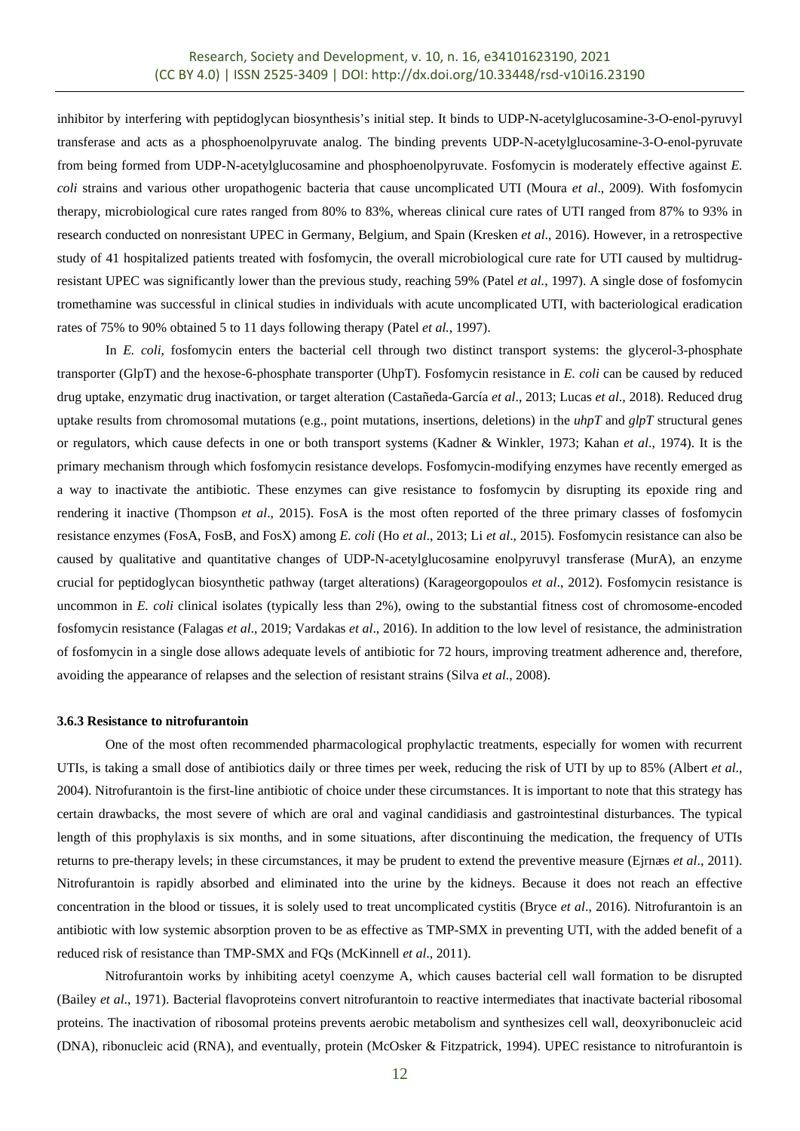inhibitor by interfering with peptidoglycan biosynthesis's initial step. It binds to UDP-N-acetylglucosamine-3-O-enol-pyruvyl transferase and acts as a phosphoenolpyruvate analog. The binding prevents UDP-N-acetylglucosamine-3-O-enol-pyruvate from being formed from UDP-N-acetylglucosamine and phosphoenolpyruvate. Fosfomycin is moderately effective against *E. coli* strains and various other uropathogenic bacteria that cause uncomplicated UTI (Moura *et al*., 2009). With fosfomycin therapy, microbiological cure rates ranged from 80% to 83%, whereas clinical cure rates of UTI ranged from 87% to 93% in research conducted on nonresistant UPEC in Germany, Belgium, and Spain (Kresken *et al*., 2016). However, in a retrospective study of 41 hospitalized patients treated with fosfomycin, the overall microbiological cure rate for UTI caused by multidrugresistant UPEC was significantly lower than the previous study, reaching 59% (Patel *et al.*, 1997). A single dose of fosfomycin tromethamine was successful in clinical studies in individuals with acute uncomplicated UTI, with bacteriological eradication rates of 75% to 90% obtained 5 to 11 days following therapy (Patel *et al.*, 1997).

In *E. coli*, fosfomycin enters the bacterial cell through two distinct transport systems: the glycerol-3-phosphate transporter (GlpT) and the hexose-6-phosphate transporter (UhpT). Fosfomycin resistance in *E. coli* can be caused by reduced drug uptake, enzymatic drug inactivation, or target alteration (Castañeda-García *et al*., 2013; Lucas *et al*., 2018). Reduced drug uptake results from chromosomal mutations (e.g., point mutations, insertions, deletions) in the *uhpT* and *glpT* structural genes or regulators, which cause defects in one or both transport systems (Kadner & Winkler, 1973; Kahan *et al*., 1974). It is the primary mechanism through which fosfomycin resistance develops. Fosfomycin-modifying enzymes have recently emerged as a way to inactivate the antibiotic. These enzymes can give resistance to fosfomycin by disrupting its epoxide ring and rendering it inactive (Thompson *et al*., 2015). FosA is the most often reported of the three primary classes of fosfomycin resistance enzymes (FosA, FosB, and FosX) among *E. coli* (Ho *et al*., 2013; Li *et al*., 2015)*.* Fosfomycin resistance can also be caused by qualitative and quantitative changes of UDP-N-acetylglucosamine enolpyruvyl transferase (MurA), an enzyme crucial for peptidoglycan biosynthetic pathway (target alterations) (Karageorgopoulos *et al*., 2012). Fosfomycin resistance is uncommon in *E. coli* clinical isolates (typically less than 2%), owing to the substantial fitness cost of chromosome-encoded fosfomycin resistance (Falagas *et al*., 2019; Vardakas *et al*., 2016). In addition to the low level of resistance, the administration of fosfomycin in a single dose allows adequate levels of antibiotic for 72 hours, improving treatment adherence and, therefore, avoiding the appearance of relapses and the selection of resistant strains (Silva *et al*., 2008).

#### **3.6.3 Resistance to nitrofurantoin**

One of the most often recommended pharmacological prophylactic treatments, especially for women with recurrent UTIs, is taking a small dose of antibiotics daily or three times per week, reducing the risk of UTI by up to 85% (Albert *et al*., 2004). Nitrofurantoin is the first-line antibiotic of choice under these circumstances. It is important to note that this strategy has certain drawbacks, the most severe of which are oral and vaginal candidiasis and gastrointestinal disturbances. The typical length of this prophylaxis is six months, and in some situations, after discontinuing the medication, the frequency of UTIs returns to pre-therapy levels; in these circumstances, it may be prudent to extend the preventive measure (Ejrnæs *et al*., 2011). Nitrofurantoin is rapidly absorbed and eliminated into the urine by the kidneys. Because it does not reach an effective concentration in the blood or tissues, it is solely used to treat uncomplicated cystitis (Bryce *et al*., 2016). Nitrofurantoin is an antibiotic with low systemic absorption proven to be as effective as TMP-SMX in preventing UTI, with the added benefit of a reduced risk of resistance than TMP-SMX and FQs (McKinnell *et al*., 2011).

Nitrofurantoin works by inhibiting acetyl coenzyme A, which causes bacterial cell wall formation to be disrupted (Bailey *et al*., 1971). Bacterial flavoproteins convert nitrofurantoin to reactive intermediates that inactivate bacterial ribosomal proteins. The inactivation of ribosomal proteins prevents aerobic metabolism and synthesizes cell wall, deoxyribonucleic acid (DNA), ribonucleic acid (RNA), and eventually, protein (McOsker & Fitzpatrick, 1994). UPEC resistance to nitrofurantoin is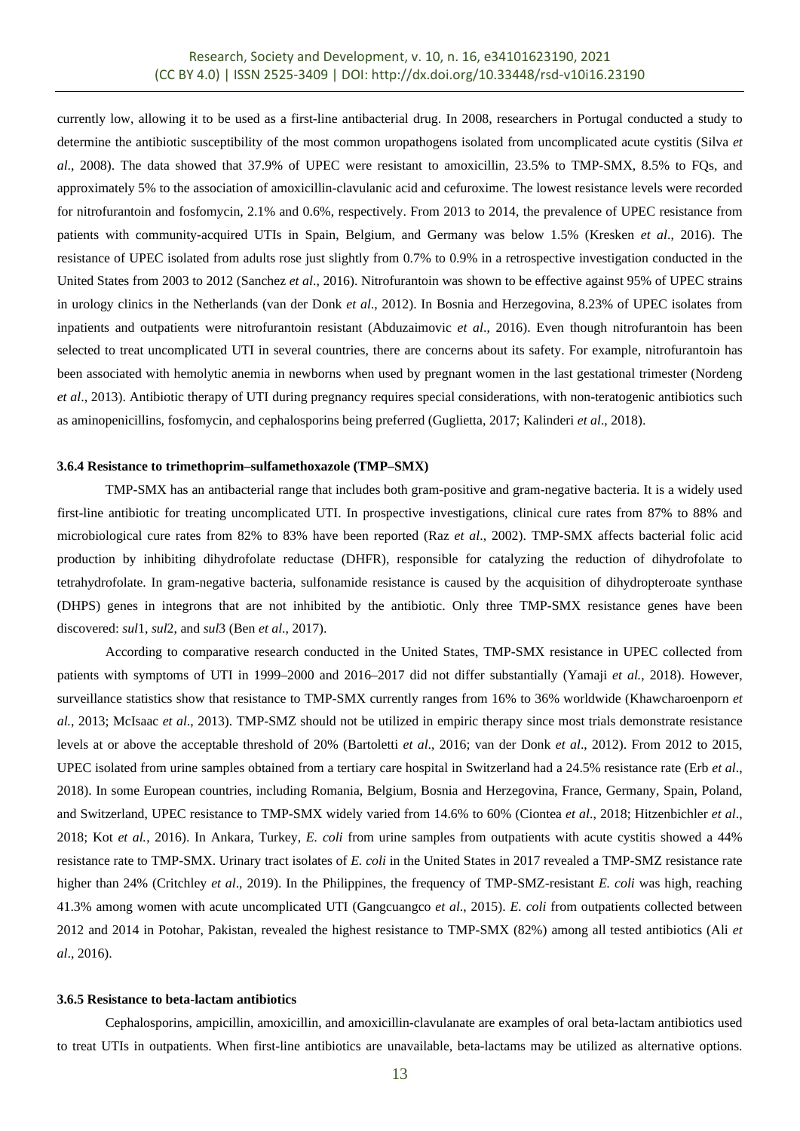currently low, allowing it to be used as a first-line antibacterial drug. In 2008, researchers in Portugal conducted a study to determine the antibiotic susceptibility of the most common uropathogens isolated from uncomplicated acute cystitis (Silva *et al*., 2008). The data showed that 37.9% of UPEC were resistant to amoxicillin, 23.5% to TMP-SMX, 8.5% to FQs, and approximately 5% to the association of amoxicillin-clavulanic acid and cefuroxime. The lowest resistance levels were recorded for nitrofurantoin and fosfomycin, 2.1% and 0.6%, respectively. From 2013 to 2014, the prevalence of UPEC resistance from patients with community-acquired UTIs in Spain, Belgium, and Germany was below 1.5% (Kresken *et al*., 2016). The resistance of UPEC isolated from adults rose just slightly from 0.7% to 0.9% in a retrospective investigation conducted in the United States from 2003 to 2012 (Sanchez *et al*., 2016). Nitrofurantoin was shown to be effective against 95% of UPEC strains in urology clinics in the Netherlands (van der Donk *et al*., 2012). In Bosnia and Herzegovina, 8.23% of UPEC isolates from inpatients and outpatients were nitrofurantoin resistant (Abduzaimovic *et al*., 2016). Even though nitrofurantoin has been selected to treat uncomplicated UTI in several countries, there are concerns about its safety. For example, nitrofurantoin has been associated with hemolytic anemia in newborns when used by pregnant women in the last gestational trimester (Nordeng *et al*., 2013). Antibiotic therapy of UTI during pregnancy requires special considerations, with non-teratogenic antibiotics such as aminopenicillins, fosfomycin, and cephalosporins being preferred (Guglietta, 2017; Kalinderi *et al*., 2018).

#### **3.6.4 Resistance to trimethoprim–sulfamethoxazole (TMP–SMX)**

TMP-SMX has an antibacterial range that includes both gram-positive and gram-negative bacteria. It is a widely used first-line antibiotic for treating uncomplicated UTI. In prospective investigations, clinical cure rates from 87% to 88% and microbiological cure rates from 82% to 83% have been reported (Raz *et al*., 2002). TMP-SMX affects bacterial folic acid production by inhibiting dihydrofolate reductase (DHFR), responsible for catalyzing the reduction of dihydrofolate to tetrahydrofolate. In gram-negative bacteria, sulfonamide resistance is caused by the acquisition of dihydropteroate synthase (DHPS) genes in integrons that are not inhibited by the antibiotic. Only three TMP-SMX resistance genes have been discovered: *sul*1, *sul*2, and *sul*3 (Ben *et al*., 2017).

According to comparative research conducted in the United States, TMP-SMX resistance in UPEC collected from patients with symptoms of UTI in 1999–2000 and 2016–2017 did not differ substantially (Yamaji *et al.*, 2018). However, surveillance statistics show that resistance to TMP-SMX currently ranges from 16% to 36% worldwide (Khawcharoenporn *et al.*, 2013; McIsaac *et al*., 2013). TMP-SMZ should not be utilized in empiric therapy since most trials demonstrate resistance levels at or above the acceptable threshold of 20% (Bartoletti *et al*., 2016; van der Donk *et al*., 2012). From 2012 to 2015, UPEC isolated from urine samples obtained from a tertiary care hospital in Switzerland had a 24.5% resistance rate (Erb *et al*., 2018). In some European countries, including Romania, Belgium, Bosnia and Herzegovina, France, Germany, Spain, Poland, and Switzerland, UPEC resistance to TMP-SMX widely varied from 14.6% to 60% (Ciontea *et al*., 2018; Hitzenbichler *et al*., 2018; Kot *et al.*, 2016). In Ankara, Turkey, *E. coli* from urine samples from outpatients with acute cystitis showed a 44% resistance rate to TMP-SMX. Urinary tract isolates of *E. coli* in the United States in 2017 revealed a TMP-SMZ resistance rate higher than 24% (Critchley *et al*., 2019). In the Philippines, the frequency of TMP-SMZ-resistant *E. coli* was high, reaching 41.3% among women with acute uncomplicated UTI (Gangcuangco *et al*., 2015). *E. coli* from outpatients collected between 2012 and 2014 in Potohar, Pakistan, revealed the highest resistance to TMP-SMX (82%) among all tested antibiotics (Ali *et al*., 2016).

#### **3.6.5 Resistance to beta-lactam antibiotics**

Cephalosporins, ampicillin, amoxicillin, and amoxicillin-clavulanate are examples of oral beta-lactam antibiotics used to treat UTIs in outpatients. When first-line antibiotics are unavailable, beta-lactams may be utilized as alternative options.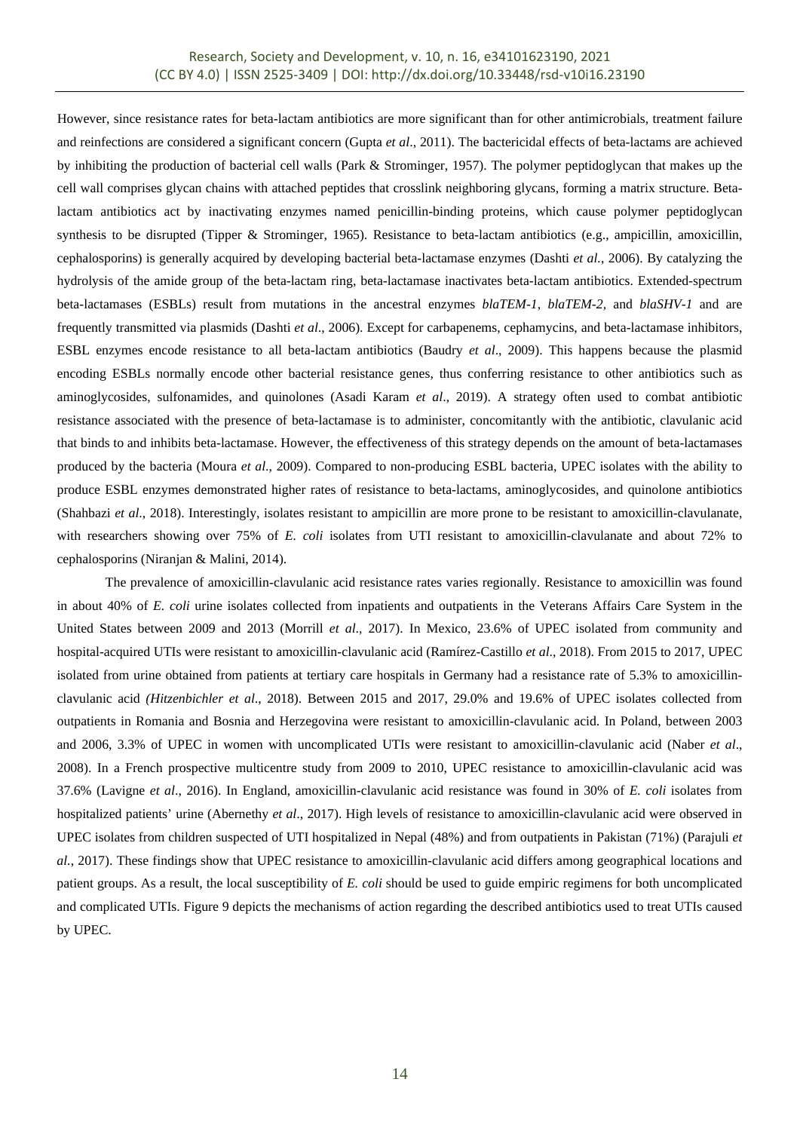However, since resistance rates for beta-lactam antibiotics are more significant than for other antimicrobials, treatment failure and reinfections are considered a significant concern (Gupta *et al*., 2011). The bactericidal effects of beta-lactams are achieved by inhibiting the production of bacterial cell walls (Park & Strominger, 1957). The polymer peptidoglycan that makes up the cell wall comprises glycan chains with attached peptides that crosslink neighboring glycans, forming a matrix structure. Betalactam antibiotics act by inactivating enzymes named penicillin-binding proteins, which cause polymer peptidoglycan synthesis to be disrupted (Tipper & Strominger, 1965). Resistance to beta-lactam antibiotics (e.g., ampicillin, amoxicillin, cephalosporins) is generally acquired by developing bacterial beta-lactamase enzymes (Dashti *et al.*, 2006). By catalyzing the hydrolysis of the amide group of the beta-lactam ring, beta-lactamase inactivates beta-lactam antibiotics. Extended-spectrum beta-lactamases (ESBLs) result from mutations in the ancestral enzymes *blaTEM-1*, *blaTEM-2,* and *blaSHV-1* and are frequently transmitted via plasmids (Dashti *et al*., 2006). Except for carbapenems, cephamycins, and beta-lactamase inhibitors, ESBL enzymes encode resistance to all beta-lactam antibiotics (Baudry *et al*., 2009). This happens because the plasmid encoding ESBLs normally encode other bacterial resistance genes, thus conferring resistance to other antibiotics such as aminoglycosides, sulfonamides, and quinolones (Asadi Karam *et al*., 2019). A strategy often used to combat antibiotic resistance associated with the presence of beta-lactamase is to administer, concomitantly with the antibiotic, clavulanic acid that binds to and inhibits beta-lactamase. However, the effectiveness of this strategy depends on the amount of beta-lactamases produced by the bacteria (Moura *et al*., 2009). Compared to non-producing ESBL bacteria, UPEC isolates with the ability to produce ESBL enzymes demonstrated higher rates of resistance to beta-lactams, aminoglycosides, and quinolone antibiotics (Shahbazi *et al*., 2018). Interestingly, isolates resistant to ampicillin are more prone to be resistant to amoxicillin-clavulanate, with researchers showing over 75% of *E. coli* isolates from UTI resistant to amoxicillin-clavulanate and about 72% to cephalosporins (Niranjan & Malini, 2014).

The prevalence of amoxicillin-clavulanic acid resistance rates varies regionally. Resistance to amoxicillin was found in about 40% of *E. coli* urine isolates collected from inpatients and outpatients in the Veterans Affairs Care System in the United States between 2009 and 2013 (Morrill *et al*., 2017). In Mexico, 23.6% of UPEC isolated from community and hospital-acquired UTIs were resistant to amoxicillin-clavulanic acid (Ramírez-Castillo *et al*., 2018). From 2015 to 2017, UPEC isolated from urine obtained from patients at tertiary care hospitals in Germany had a resistance rate of 5.3% to amoxicillinclavulanic acid *(Hitzenbichler et al*., 2018). Between 2015 and 2017, 29.0% and 19.6% of UPEC isolates collected from outpatients in Romania and Bosnia and Herzegovina were resistant to amoxicillin-clavulanic acid. In Poland, between 2003 and 2006, 3.3% of UPEC in women with uncomplicated UTIs were resistant to amoxicillin-clavulanic acid (Naber *et al*., 2008). In a French prospective multicentre study from 2009 to 2010, UPEC resistance to amoxicillin-clavulanic acid was 37.6% (Lavigne *et al*., 2016). In England, amoxicillin-clavulanic acid resistance was found in 30% of *E. coli* isolates from hospitalized patients' urine (Abernethy *et al*., 2017). High levels of resistance to amoxicillin-clavulanic acid were observed in UPEC isolates from children suspected of UTI hospitalized in Nepal (48%) and from outpatients in Pakistan (71%) (Parajuli *et al.*, 2017). These findings show that UPEC resistance to amoxicillin-clavulanic acid differs among geographical locations and patient groups. As a result, the local susceptibility of *E. coli* should be used to guide empiric regimens for both uncomplicated and complicated UTIs. Figure 9 depicts the mechanisms of action regarding the described antibiotics used to treat UTIs caused by UPEC.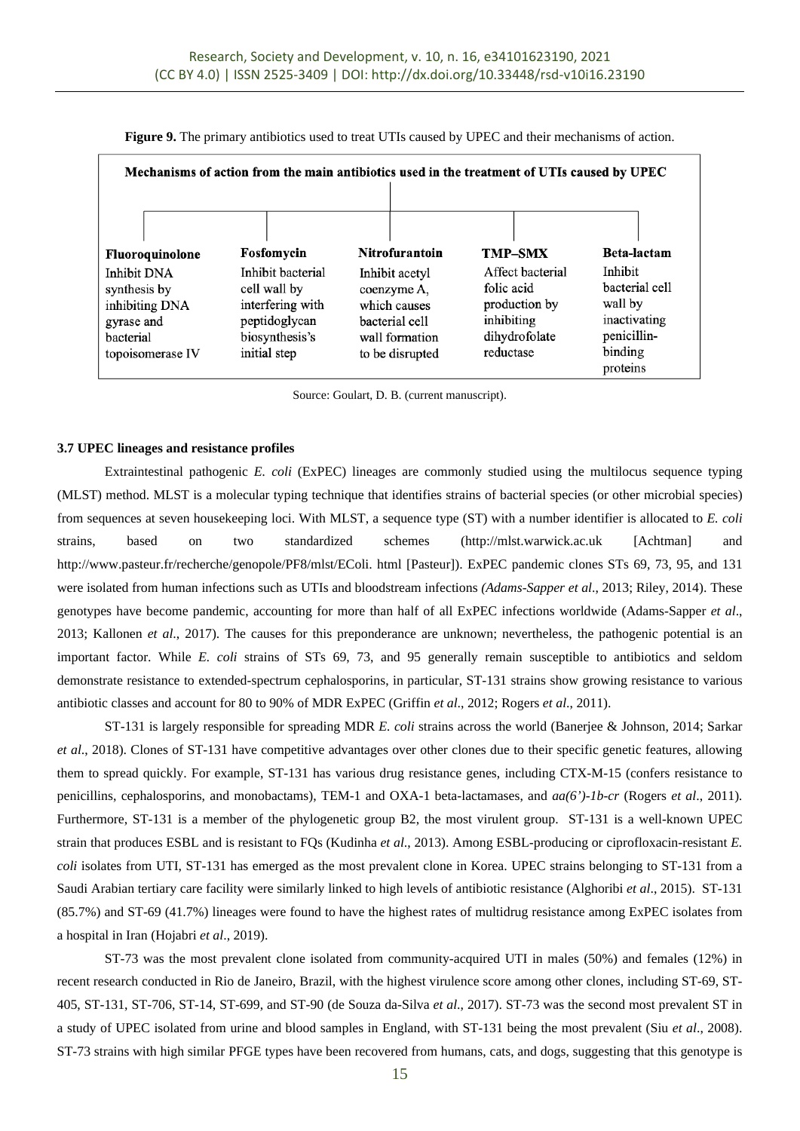|                                                                                              |                                                                                                          |                                                                                                      | Mechanisms of action from the main antibiotics used in the treatment of UTIs caused by UPEC |                                                                                            |
|----------------------------------------------------------------------------------------------|----------------------------------------------------------------------------------------------------------|------------------------------------------------------------------------------------------------------|---------------------------------------------------------------------------------------------|--------------------------------------------------------------------------------------------|
| Fluoroquinolone                                                                              | Fosfomycin                                                                                               | Nitrofurantoin                                                                                       | <b>TMP-SMX</b>                                                                              | <b>Beta-lactam</b>                                                                         |
| Inhibit DNA<br>synthesis by<br>inhibiting DNA<br>gyrase and<br>bacterial<br>topoisomerase IV | Inhibit bacterial<br>cell wall by<br>interfering with<br>peptidoglycan<br>biosynthesis's<br>initial step | Inhibit acetyl<br>coenzyme A,<br>which causes<br>bacterial cell<br>wall formation<br>to be disrupted | Affect bacterial<br>folic acid<br>production by<br>inhibiting<br>dihydrofolate<br>reductase | Inhibit<br>bacterial cell<br>wall by<br>inactivating<br>penicillin-<br>binding<br>proteins |

**Figure 9.** The primary antibiotics used to treat UTIs caused by UPEC and their mechanisms of action.

Source: Goulart, D. B. (current manuscript).

#### **3.7 UPEC lineages and resistance profiles**

Extraintestinal pathogenic *E. coli* (ExPEC) lineages are commonly studied using the multilocus sequence typing (MLST) method. MLST is a molecular typing technique that identifies strains of bacterial species (or other microbial species) from sequences at seven housekeeping loci. With MLST, a sequence type (ST) with a number identifier is allocated to *E. coli* strains, based on two standardized schemes (http://mlst.warwick.ac.uk [Achtman] and http://www.pasteur.fr/recherche/genopole/PF8/mlst/EColi. html [Pasteur]). ExPEC pandemic clones STs 69, 73, 95, and 131 were isolated from human infections such as UTIs and bloodstream infections *(Adams-Sapper et al*., 2013; Riley, 2014). These genotypes have become pandemic, accounting for more than half of all ExPEC infections worldwide (Adams-Sapper *et al*., 2013; Kallonen *et al*., 2017). The causes for this preponderance are unknown; nevertheless, the pathogenic potential is an important factor. While *E. coli* strains of STs 69, 73, and 95 generally remain susceptible to antibiotics and seldom demonstrate resistance to extended-spectrum cephalosporins, in particular, ST-131 strains show growing resistance to various antibiotic classes and account for 80 to 90% of MDR ExPEC (Griffin *et al*., 2012; Rogers *et al*., 2011).

ST-131 is largely responsible for spreading MDR *E. coli* strains across the world (Banerjee & Johnson, 2014; Sarkar *et al*., 2018). Clones of ST-131 have competitive advantages over other clones due to their specific genetic features, allowing them to spread quickly. For example, ST-131 has various drug resistance genes, including CTX-M-15 (confers resistance to penicillins, cephalosporins, and monobactams), TEM-1 and OXA-1 beta-lactamases, and *aa(6')-1b-cr* (Rogers *et al*., 2011)*.*  Furthermore, ST-131 is a member of the phylogenetic group B2, the most virulent group. ST-131 is a well-known UPEC strain that produces ESBL and is resistant to FQs (Kudinha *et al*., 2013). Among ESBL-producing or ciprofloxacin-resistant *E. coli* isolates from UTI, ST-131 has emerged as the most prevalent clone in Korea. UPEC strains belonging to ST-131 from a Saudi Arabian tertiary care facility were similarly linked to high levels of antibiotic resistance (Alghoribi *et al*., 2015). ST-131 (85.7%) and ST-69 (41.7%) lineages were found to have the highest rates of multidrug resistance among ExPEC isolates from a hospital in Iran (Hojabri *et al*., 2019).

ST-73 was the most prevalent clone isolated from community-acquired UTI in males (50%) and females (12%) in recent research conducted in Rio de Janeiro, Brazil, with the highest virulence score among other clones, including ST-69, ST-405, ST-131, ST-706, ST-14, ST-699, and ST-90 (de Souza da-Silva *et al*., 2017). ST-73 was the second most prevalent ST in a study of UPEC isolated from urine and blood samples in England, with ST-131 being the most prevalent (Siu *et al*., 2008). ST-73 strains with high similar PFGE types have been recovered from humans, cats, and dogs, suggesting that this genotype is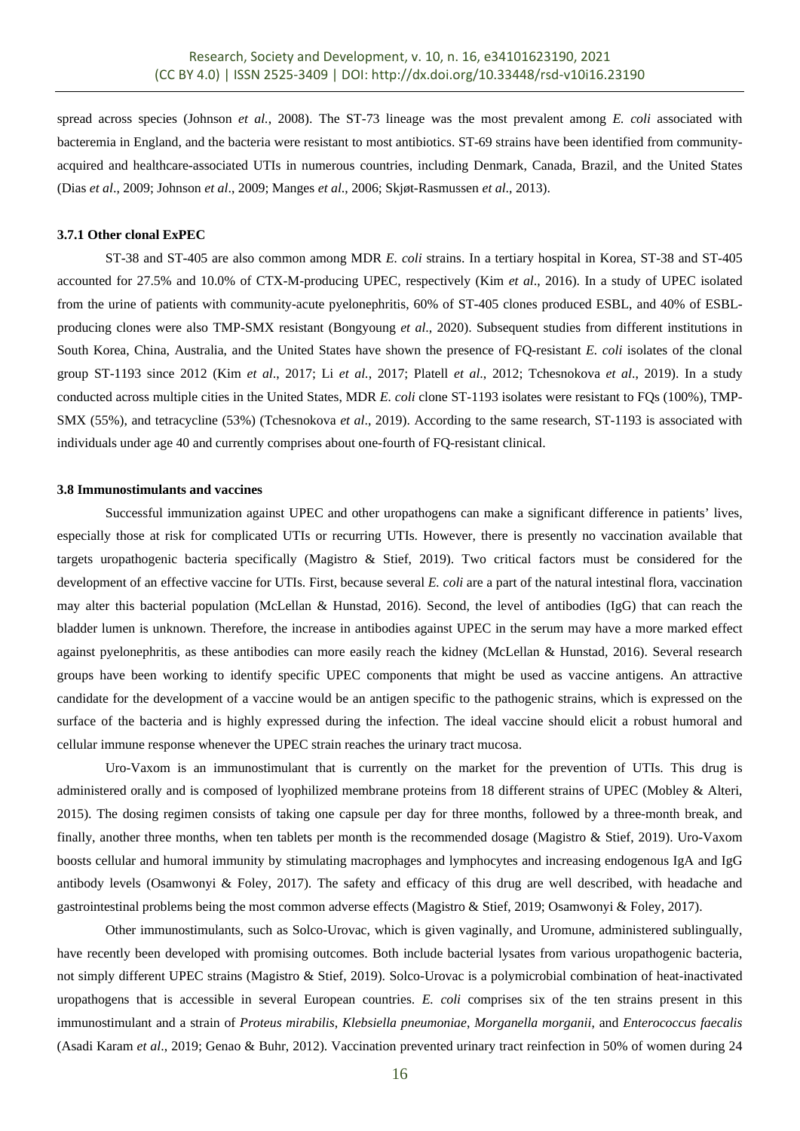spread across species (Johnson *et al.*, 2008). The ST-73 lineage was the most prevalent among *E. coli* associated with bacteremia in England, and the bacteria were resistant to most antibiotics. ST-69 strains have been identified from communityacquired and healthcare-associated UTIs in numerous countries, including Denmark, Canada, Brazil, and the United States (Dias *et al*., 2009; Johnson *et al*., 2009; Manges *et al*., 2006; Skjøt-Rasmussen *et al*., 2013).

# **3.7.1 Other clonal ExPEC**

ST-38 and ST-405 are also common among MDR *E. coli* strains. In a tertiary hospital in Korea, ST-38 and ST-405 accounted for 27.5% and 10.0% of CTX-M-producing UPEC, respectively (Kim *et al*., 2016). In a study of UPEC isolated from the urine of patients with community-acute pyelonephritis, 60% of ST-405 clones produced ESBL, and 40% of ESBLproducing clones were also TMP-SMX resistant (Bongyoung *et al*., 2020). Subsequent studies from different institutions in South Korea, China, Australia, and the United States have shown the presence of FQ-resistant *E. coli* isolates of the clonal group ST-1193 since 2012 (Kim *et al*., 2017; Li *et al.*, 2017; Platell *et al*., 2012; Tchesnokova *et al*., 2019). In a study conducted across multiple cities in the United States, MDR *E. coli* clone ST-1193 isolates were resistant to FQs (100%), TMP-SMX (55%), and tetracycline (53%) (Tchesnokova *et al*., 2019). According to the same research, ST-1193 is associated with individuals under age 40 and currently comprises about one-fourth of FQ-resistant clinical.

#### **3.8 Immunostimulants and vaccines**

Successful immunization against UPEC and other uropathogens can make a significant difference in patients' lives, especially those at risk for complicated UTIs or recurring UTIs. However, there is presently no vaccination available that targets uropathogenic bacteria specifically (Magistro & Stief, 2019). Two critical factors must be considered for the development of an effective vaccine for UTIs. First, because several *E. coli* are a part of the natural intestinal flora, vaccination may alter this bacterial population (McLellan & Hunstad, 2016). Second, the level of antibodies (IgG) that can reach the bladder lumen is unknown. Therefore, the increase in antibodies against UPEC in the serum may have a more marked effect against pyelonephritis, as these antibodies can more easily reach the kidney (McLellan & Hunstad, 2016). Several research groups have been working to identify specific UPEC components that might be used as vaccine antigens. An attractive candidate for the development of a vaccine would be an antigen specific to the pathogenic strains, which is expressed on the surface of the bacteria and is highly expressed during the infection. The ideal vaccine should elicit a robust humoral and cellular immune response whenever the UPEC strain reaches the urinary tract mucosa.

Uro-Vaxom is an immunostimulant that is currently on the market for the prevention of UTIs. This drug is administered orally and is composed of lyophilized membrane proteins from 18 different strains of UPEC (Mobley & Alteri, 2015). The dosing regimen consists of taking one capsule per day for three months, followed by a three-month break, and finally, another three months, when ten tablets per month is the recommended dosage (Magistro & Stief, 2019). Uro-Vaxom boosts cellular and humoral immunity by stimulating macrophages and lymphocytes and increasing endogenous IgA and IgG antibody levels (Osamwonyi & Foley, 2017). The safety and efficacy of this drug are well described, with headache and gastrointestinal problems being the most common adverse effects (Magistro & Stief, 2019; Osamwonyi & Foley, 2017).

Other immunostimulants, such as Solco-Urovac, which is given vaginally, and Uromune, administered sublingually, have recently been developed with promising outcomes. Both include bacterial lysates from various uropathogenic bacteria, not simply different UPEC strains (Magistro & Stief, 2019). Solco-Urovac is a polymicrobial combination of heat-inactivated uropathogens that is accessible in several European countries. *E. coli* comprises six of the ten strains present in this immunostimulant and a strain of *Proteus mirabilis*, *Klebsiella pneumoniae*, *Morganella morganii*, and *Enterococcus faecalis* (Asadi Karam *et al*., 2019; Genao & Buhr, 2012). Vaccination prevented urinary tract reinfection in 50% of women during 24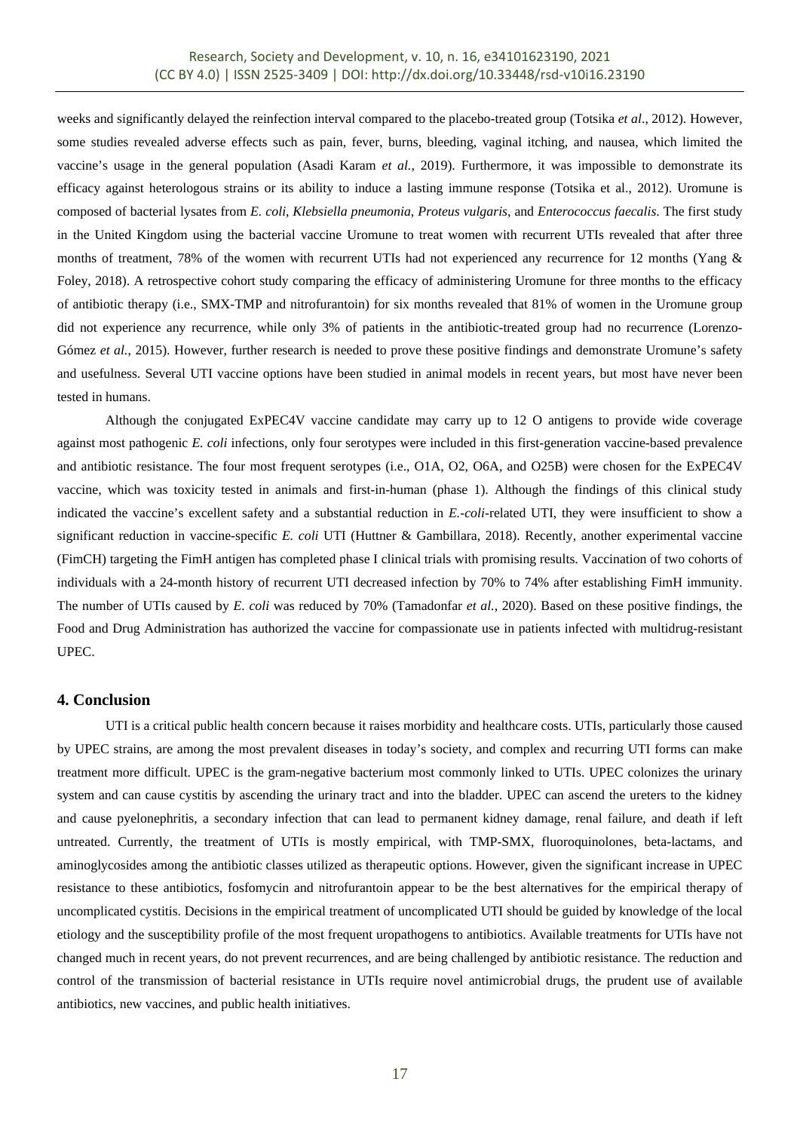weeks and significantly delayed the reinfection interval compared to the placebo-treated group (Totsika *et al*., 2012). However, some studies revealed adverse effects such as pain, fever, burns, bleeding, vaginal itching, and nausea, which limited the vaccine's usage in the general population (Asadi Karam *et al.*, 2019). Furthermore, it was impossible to demonstrate its efficacy against heterologous strains or its ability to induce a lasting immune response (Totsika et al., 2012). Uromune is composed of bacterial lysates from *E. coli*, *Klebsiella pneumonia*, *Proteus vulgaris*, and *Enterococcus faecalis*. The first study in the United Kingdom using the bacterial vaccine Uromune to treat women with recurrent UTIs revealed that after three months of treatment, 78% of the women with recurrent UTIs had not experienced any recurrence for 12 months (Yang & Foley, 2018). A retrospective cohort study comparing the efficacy of administering Uromune for three months to the efficacy of antibiotic therapy (i.e., SMX-TMP and nitrofurantoin) for six months revealed that 81% of women in the Uromune group did not experience any recurrence, while only 3% of patients in the antibiotic-treated group had no recurrence (Lorenzo-Gómez *et al.*, 2015). However, further research is needed to prove these positive findings and demonstrate Uromune's safety and usefulness. Several UTI vaccine options have been studied in animal models in recent years, but most have never been tested in humans.

Although the conjugated ExPEC4V vaccine candidate may carry up to 12 O antigens to provide wide coverage against most pathogenic *E. coli* infections, only four serotypes were included in this first-generation vaccine-based prevalence and antibiotic resistance. The four most frequent serotypes (i.e., O1A, O2, O6A, and O25B) were chosen for the ExPEC4V vaccine, which was toxicity tested in animals and first-in-human (phase 1). Although the findings of this clinical study indicated the vaccine's excellent safety and a substantial reduction in *E.-coli*-related UTI, they were insufficient to show a significant reduction in vaccine-specific *E. coli* UTI (Huttner & Gambillara, 2018). Recently, another experimental vaccine (FimCH) targeting the FimH antigen has completed phase I clinical trials with promising results. Vaccination of two cohorts of individuals with a 24-month history of recurrent UTI decreased infection by 70% to 74% after establishing FimH immunity. The number of UTIs caused by *E. coli* was reduced by 70% (Tamadonfar *et al.*, 2020). Based on these positive findings, the Food and Drug Administration has authorized the vaccine for compassionate use in patients infected with multidrug-resistant UPEC.

# **4. Conclusion**

UTI is a critical public health concern because it raises morbidity and healthcare costs. UTIs, particularly those caused by UPEC strains, are among the most prevalent diseases in today's society, and complex and recurring UTI forms can make treatment more difficult. UPEC is the gram-negative bacterium most commonly linked to UTIs. UPEC colonizes the urinary system and can cause cystitis by ascending the urinary tract and into the bladder. UPEC can ascend the ureters to the kidney and cause pyelonephritis, a secondary infection that can lead to permanent kidney damage, renal failure, and death if left untreated. Currently, the treatment of UTIs is mostly empirical, with TMP-SMX, fluoroquinolones, beta-lactams, and aminoglycosides among the antibiotic classes utilized as therapeutic options. However, given the significant increase in UPEC resistance to these antibiotics, fosfomycin and nitrofurantoin appear to be the best alternatives for the empirical therapy of uncomplicated cystitis. Decisions in the empirical treatment of uncomplicated UTI should be guided by knowledge of the local etiology and the susceptibility profile of the most frequent uropathogens to antibiotics. Available treatments for UTIs have not changed much in recent years, do not prevent recurrences, and are being challenged by antibiotic resistance. The reduction and control of the transmission of bacterial resistance in UTIs require novel antimicrobial drugs, the prudent use of available antibiotics, new vaccines, and public health initiatives.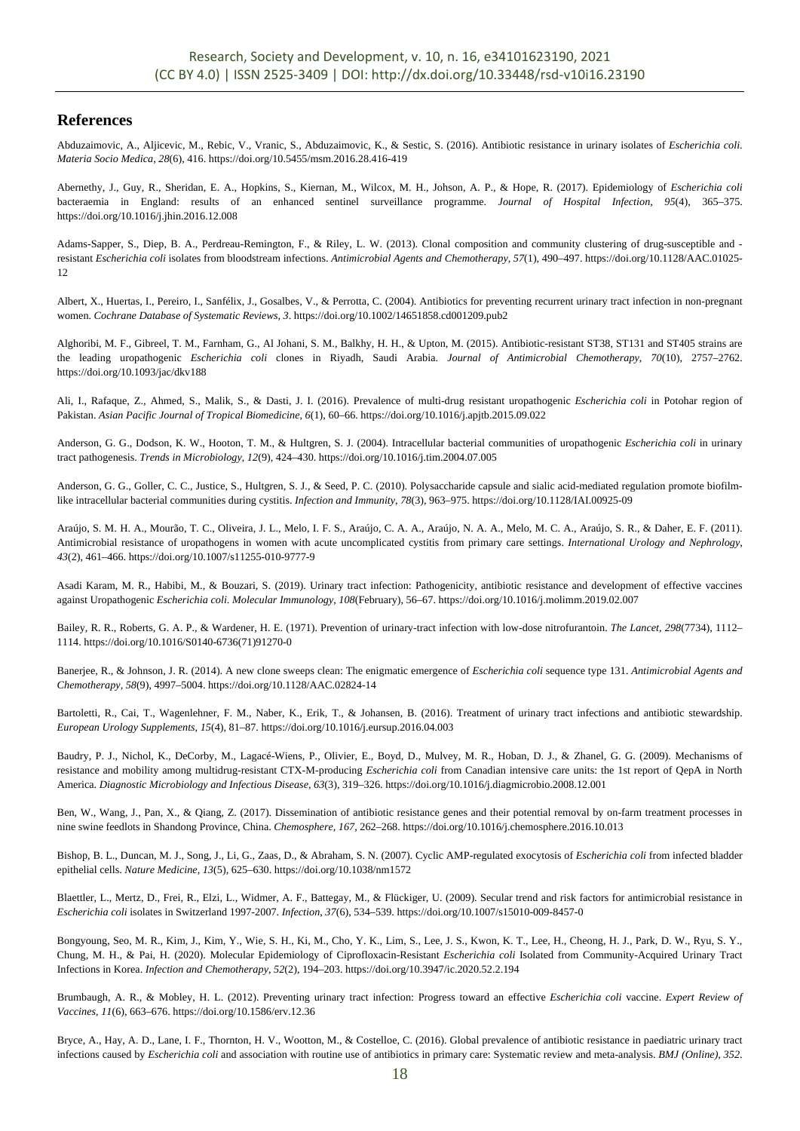# **References**

Abduzaimovic, A., Aljicevic, M., Rebic, V., Vranic, S., Abduzaimovic, K., & Sestic, S. (2016). Antibiotic resistance in urinary isolates of *Escherichia coli*. *Materia Socio Medica*, *28*(6), 416. https://doi.org/10.5455/msm.2016.28.416-419

Abernethy, J., Guy, R., Sheridan, E. A., Hopkins, S., Kiernan, M., Wilcox, M. H., Johson, A. P., & Hope, R. (2017). Epidemiology of *Escherichia coli*  bacteraemia in England: results of an enhanced sentinel surveillance programme. *Journal of Hospital Infection*, *95*(4), 365–375. https://doi.org/10.1016/j.jhin.2016.12.008

Adams-Sapper, S., Diep, B. A., Perdreau-Remington, F., & Riley, L. W. (2013). Clonal composition and community clustering of drug-susceptible and resistant *Escherichia coli* isolates from bloodstream infections. *Antimicrobial Agents and Chemotherapy*, *57*(1), 490–497. https://doi.org/10.1128/AAC.01025- 12

Albert, X., Huertas, I., Pereiro, I., Sanfélix, J., Gosalbes, V., & Perrotta, C. (2004). Antibiotics for preventing recurrent urinary tract infection in non-pregnant women. *Cochrane Database of Systematic Reviews*, *3*. https://doi.org/10.1002/14651858.cd001209.pub2

Alghoribi, M. F., Gibreel, T. M., Farnham, G., Al Johani, S. M., Balkhy, H. H., & Upton, M. (2015). Antibiotic-resistant ST38, ST131 and ST405 strains are the leading uropathogenic *Escherichia coli* clones in Riyadh, Saudi Arabia. *Journal of Antimicrobial Chemotherapy*, *70*(10), 2757–2762. https://doi.org/10.1093/jac/dkv188

Ali, I., Rafaque, Z., Ahmed, S., Malik, S., & Dasti, J. I. (2016). Prevalence of multi-drug resistant uropathogenic *Escherichia coli* in Potohar region of Pakistan. *Asian Pacific Journal of Tropical Biomedicine*, *6*(1), 60–66. https://doi.org/10.1016/j.apjtb.2015.09.022

Anderson, G. G., Dodson, K. W., Hooton, T. M., & Hultgren, S. J. (2004). Intracellular bacterial communities of uropathogenic *Escherichia coli* in urinary tract pathogenesis. *Trends in Microbiology*, *12*(9), 424–430. https://doi.org/10.1016/j.tim.2004.07.005

Anderson, G. G., Goller, C. C., Justice, S., Hultgren, S. J., & Seed, P. C. (2010). Polysaccharide capsule and sialic acid-mediated regulation promote biofilmlike intracellular bacterial communities during cystitis. *Infection and Immunity*, *78*(3), 963–975. https://doi.org/10.1128/IAI.00925-09

Araújo, S. M. H. A., Mourão, T. C., Oliveira, J. L., Melo, I. F. S., Araújo, C. A. A., Araújo, N. A. A., Melo, M. C. A., Araújo, S. R., & Daher, E. F. (2011). Antimicrobial resistance of uropathogens in women with acute uncomplicated cystitis from primary care settings. *International Urology and Nephrology*, *43*(2), 461–466. https://doi.org/10.1007/s11255-010-9777-9

Asadi Karam, M. R., Habibi, M., & Bouzari, S. (2019). Urinary tract infection: Pathogenicity, antibiotic resistance and development of effective vaccines against Uropathogenic *Escherichia coli*. *Molecular Immunology*, *108*(February), 56–67. https://doi.org/10.1016/j.molimm.2019.02.007

Bailey, R. R., Roberts, G. A. P., & Wardener, H. E. (1971). Prevention of urinary-tract infection with low-dose nitrofurantoin. *The Lancet*, *298*(7734), 1112– 1114. https://doi.org/10.1016/S0140-6736(71)91270-0

Banerjee, R., & Johnson, J. R. (2014). A new clone sweeps clean: The enigmatic emergence of *Escherichia coli* sequence type 131. *Antimicrobial Agents and Chemotherapy*, *58*(9), 4997–5004. https://doi.org/10.1128/AAC.02824-14

Bartoletti, R., Cai, T., Wagenlehner, F. M., Naber, K., Erik, T., & Johansen, B. (2016). Treatment of urinary tract infections and antibiotic stewardship. *European Urology Supplements*, *15*(4), 81–87. https://doi.org/10.1016/j.eursup.2016.04.003

Baudry, P. J., Nichol, K., DeCorby, M., Lagacé-Wiens, P., Olivier, E., Boyd, D., Mulvey, M. R., Hoban, D. J., & Zhanel, G. G. (2009). Mechanisms of resistance and mobility among multidrug-resistant CTX-M-producing *Escherichia coli* from Canadian intensive care units: the 1st report of QepA in North America. *Diagnostic Microbiology and Infectious Disease*, *63*(3), 319–326. https://doi.org/10.1016/j.diagmicrobio.2008.12.001

Ben, W., Wang, J., Pan, X., & Qiang, Z. (2017). Dissemination of antibiotic resistance genes and their potential removal by on-farm treatment processes in nine swine feedlots in Shandong Province, China. *Chemosphere*, *167*, 262–268. https://doi.org/10.1016/j.chemosphere.2016.10.013

Bishop, B. L., Duncan, M. J., Song, J., Li, G., Zaas, D., & Abraham, S. N. (2007). Cyclic AMP-regulated exocytosis of *Escherichia coli* from infected bladder epithelial cells. *Nature Medicine*, *13*(5), 625–630. https://doi.org/10.1038/nm1572

Blaettler, L., Mertz, D., Frei, R., Elzi, L., Widmer, A. F., Battegay, M., & Flückiger, U. (2009). Secular trend and risk factors for antimicrobial resistance in *Escherichia coli* isolates in Switzerland 1997-2007. *Infection*, *37*(6), 534–539. https://doi.org/10.1007/s15010-009-8457-0

Bongyoung, Seo, M. R., Kim, J., Kim, Y., Wie, S. H., Ki, M., Cho, Y. K., Lim, S., Lee, J. S., Kwon, K. T., Lee, H., Cheong, H. J., Park, D. W., Ryu, S. Y., Chung, M. H., & Pai, H. (2020). Molecular Epidemiology of Ciprofloxacin-Resistant *Escherichia coli* Isolated from Community-Acquired Urinary Tract Infections in Korea. *Infection and Chemotherapy*, *52*(2), 194–203. https://doi.org/10.3947/ic.2020.52.2.194

Brumbaugh, A. R., & Mobley, H. L. (2012). Preventing urinary tract infection: Progress toward an effective *Escherichia coli* vaccine. *Expert Review of Vaccines*, *11*(6), 663–676. https://doi.org/10.1586/erv.12.36

Bryce, A., Hay, A. D., Lane, I. F., Thornton, H. V., Wootton, M., & Costelloe, C. (2016). Global prevalence of antibiotic resistance in paediatric urinary tract infections caused by *Escherichia coli* and association with routine use of antibiotics in primary care: Systematic review and meta-analysis. *BMJ (Online)*, *352*.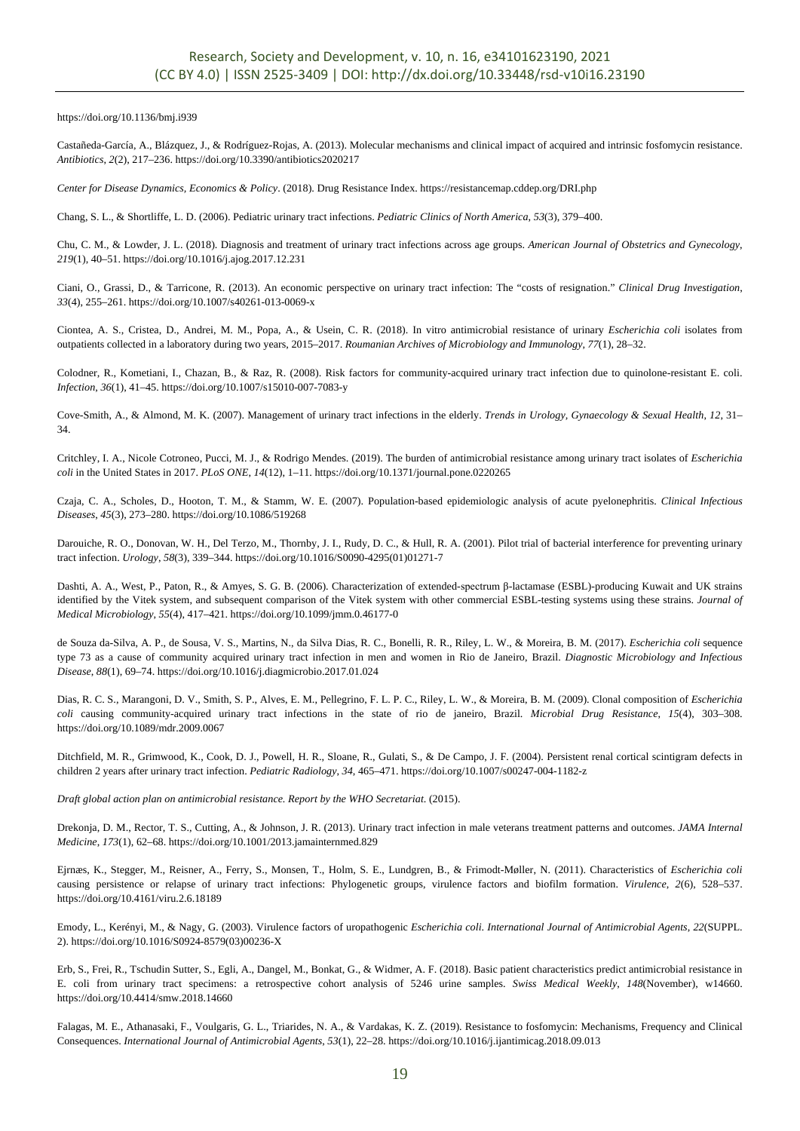https://doi.org/10.1136/bmj.i939

Castañeda-García, A., Blázquez, J., & Rodríguez-Rojas, A. (2013). Molecular mechanisms and clinical impact of acquired and intrinsic fosfomycin resistance. *Antibiotics*, *2*(2), 217–236. https://doi.org/10.3390/antibiotics2020217

*Center for Disease Dynamics, Economics & Policy*. (2018). Drug Resistance Index. https://resistancemap.cddep.org/DRI.php

Chang, S. L., & Shortliffe, L. D. (2006). Pediatric urinary tract infections. *Pediatric Clinics of North America*, *53*(3), 379–400.

Chu, C. M., & Lowder, J. L. (2018). Diagnosis and treatment of urinary tract infections across age groups. *American Journal of Obstetrics and Gynecology*, *219*(1), 40–51. https://doi.org/10.1016/j.ajog.2017.12.231

Ciani, O., Grassi, D., & Tarricone, R. (2013). An economic perspective on urinary tract infection: The "costs of resignation." *Clinical Drug Investigation*, *33*(4), 255–261. https://doi.org/10.1007/s40261-013-0069-x

Ciontea, A. S., Cristea, D., Andrei, M. M., Popa, A., & Usein, C. R. (2018). In vitro antimicrobial resistance of urinary *Escherichia coli* isolates from outpatients collected in a laboratory during two years, 2015–2017. *Roumanian Archives of Microbiology and Immunology*, *77*(1), 28–32.

Colodner, R., Kometiani, I., Chazan, B., & Raz, R. (2008). Risk factors for community-acquired urinary tract infection due to quinolone-resistant E. coli. *Infection*, *36*(1), 41–45. https://doi.org/10.1007/s15010-007-7083-y

Cove-Smith, A., & Almond, M. K. (2007). Management of urinary tract infections in the elderly. *Trends in Urology, Gynaecology & Sexual Health*, *12*, 31– 34.

Critchley, I. A., Nicole Cotroneo, Pucci, M. J., & Rodrigo Mendes. (2019). The burden of antimicrobial resistance among urinary tract isolates of *Escherichia coli* in the United States in 2017. *PLoS ONE*, *14*(12), 1–11. https://doi.org/10.1371/journal.pone.0220265

Czaja, C. A., Scholes, D., Hooton, T. M., & Stamm, W. E. (2007). Population-based epidemiologic analysis of acute pyelonephritis. *Clinical Infectious Diseases*, *45*(3), 273–280. https://doi.org/10.1086/519268

Darouiche, R. O., Donovan, W. H., Del Terzo, M., Thornby, J. I., Rudy, D. C., & Hull, R. A. (2001). Pilot trial of bacterial interference for preventing urinary tract infection. *Urology*, *58*(3), 339–344. https://doi.org/10.1016/S0090-4295(01)01271-7

Dashti, A. A., West, P., Paton, R., & Amyes, S. G. B. (2006). Characterization of extended-spectrum β-lactamase (ESBL)-producing Kuwait and UK strains identified by the Vitek system, and subsequent comparison of the Vitek system with other commercial ESBL-testing systems using these strains. *Journal of Medical Microbiology*, *55*(4), 417–421. https://doi.org/10.1099/jmm.0.46177-0

de Souza da-Silva, A. P., de Sousa, V. S., Martins, N., da Silva Dias, R. C., Bonelli, R. R., Riley, L. W., & Moreira, B. M. (2017). *Escherichia coli* sequence type 73 as a cause of community acquired urinary tract infection in men and women in Rio de Janeiro, Brazil. *Diagnostic Microbiology and Infectious Disease*, *88*(1), 69–74. https://doi.org/10.1016/j.diagmicrobio.2017.01.024

Dias, R. C. S., Marangoni, D. V., Smith, S. P., Alves, E. M., Pellegrino, F. L. P. C., Riley, L. W., & Moreira, B. M. (2009). Clonal composition of *Escherichia coli* causing community-acquired urinary tract infections in the state of rio de janeiro, Brazil. *Microbial Drug Resistance*, *15*(4), 303–308. https://doi.org/10.1089/mdr.2009.0067

Ditchfield, M. R., Grimwood, K., Cook, D. J., Powell, H. R., Sloane, R., Gulati, S., & De Campo, J. F. (2004). Persistent renal cortical scintigram defects in children 2 years after urinary tract infection. *Pediatric Radiology*, *34*, 465–471. https://doi.org/10.1007/s00247-004-1182-z

*Draft global action plan on antimicrobial resistance. Report by the WHO Secretariat*. (2015).

Drekonja, D. M., Rector, T. S., Cutting, A., & Johnson, J. R. (2013). Urinary tract infection in male veterans treatment patterns and outcomes. *JAMA Internal Medicine*, *173*(1), 62–68. https://doi.org/10.1001/2013.jamainternmed.829

Ejrnæs, K., Stegger, M., Reisner, A., Ferry, S., Monsen, T., Holm, S. E., Lundgren, B., & Frimodt-Møller, N. (2011). Characteristics of *Escherichia coli*  causing persistence or relapse of urinary tract infections: Phylogenetic groups, virulence factors and biofilm formation. *Virulence*, *2*(6), 528–537. https://doi.org/10.4161/viru.2.6.18189

Emody, L., Kerényi, M., & Nagy, G. (2003). Virulence factors of uropathogenic *Escherichia coli*. *International Journal of Antimicrobial Agents*, *22*(SUPPL. 2). https://doi.org/10.1016/S0924-8579(03)00236-X

Erb, S., Frei, R., Tschudin Sutter, S., Egli, A., Dangel, M., Bonkat, G., & Widmer, A. F. (2018). Basic patient characteristics predict antimicrobial resistance in E. coli from urinary tract specimens: a retrospective cohort analysis of 5246 urine samples. *Swiss Medical Weekly*, *148*(November), w14660. https://doi.org/10.4414/smw.2018.14660

Falagas, M. E., Athanasaki, F., Voulgaris, G. L., Triarides, N. A., & Vardakas, K. Z. (2019). Resistance to fosfomycin: Mechanisms, Frequency and Clinical Consequences. *International Journal of Antimicrobial Agents*, *53*(1), 22–28. https://doi.org/10.1016/j.ijantimicag.2018.09.013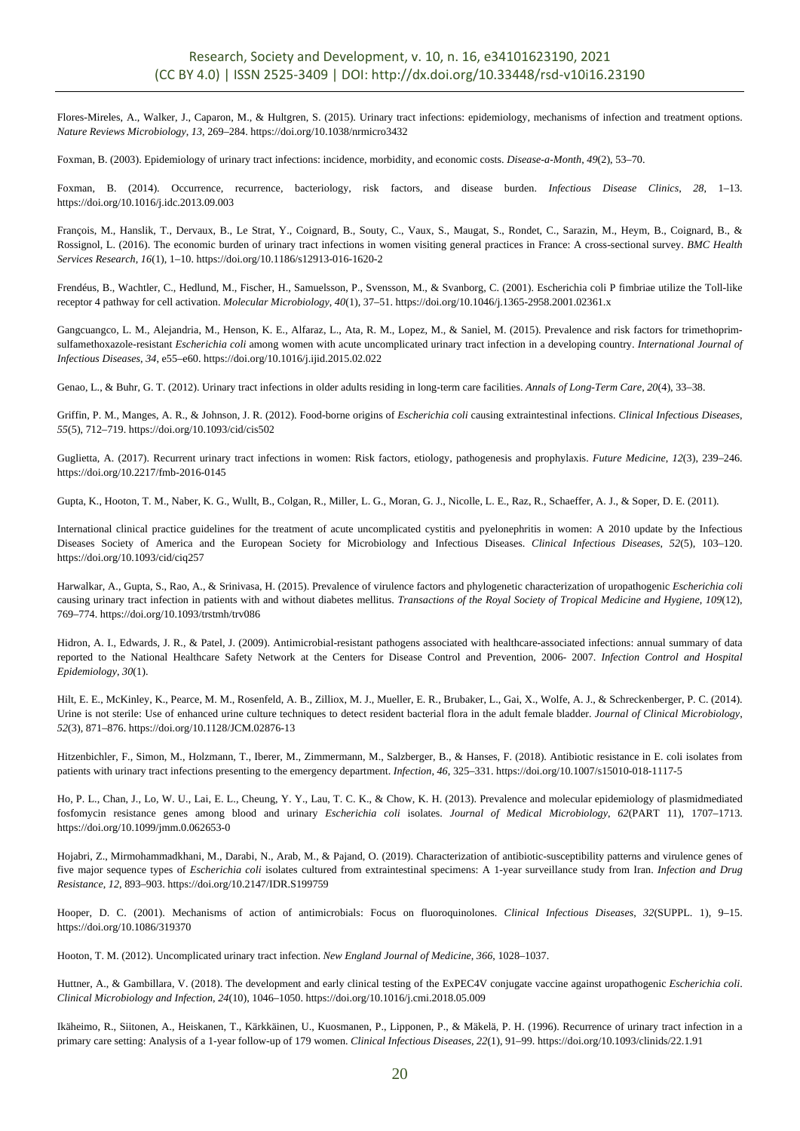Flores-Mireles, A., Walker, J., Caparon, M., & Hultgren, S. (2015). Urinary tract infections: epidemiology, mechanisms of infection and treatment options. *Nature Reviews Microbiology*, *13*, 269–284. https://doi.org/10.1038/nrmicro3432

Foxman, B. (2003). Epidemiology of urinary tract infections: incidence, morbidity, and economic costs. *Disease-a-Month*, *49*(2), 53–70.

Foxman, B. (2014). Occurrence, recurrence, bacteriology, risk factors, and disease burden. *Infectious Disease Clinics*, *28*, 1–13. https://doi.org/10.1016/j.idc.2013.09.003

François, M., Hanslik, T., Dervaux, B., Le Strat, Y., Coignard, B., Souty, C., Vaux, S., Maugat, S., Rondet, C., Sarazin, M., Heym, B., Coignard, B., & Rossignol, L. (2016). The economic burden of urinary tract infections in women visiting general practices in France: A cross-sectional survey. *BMC Health Services Research*, *16*(1), 1–10. https://doi.org/10.1186/s12913-016-1620-2

Frendéus, B., Wachtler, C., Hedlund, M., Fischer, H., Samuelsson, P., Svensson, M., & Svanborg, C. (2001). Escherichia coli P fimbriae utilize the Toll-like receptor 4 pathway for cell activation. *Molecular Microbiology*, *40*(1), 37–51. https://doi.org/10.1046/j.1365-2958.2001.02361.x

Gangcuangco, L. M., Alejandria, M., Henson, K. E., Alfaraz, L., Ata, R. M., Lopez, M., & Saniel, M. (2015). Prevalence and risk factors for trimethoprimsulfamethoxazole-resistant *Escherichia coli* among women with acute uncomplicated urinary tract infection in a developing country. *International Journal of Infectious Diseases*, *34*, e55–e60. https://doi.org/10.1016/j.ijid.2015.02.022

Genao, L., & Buhr, G. T. (2012). Urinary tract infections in older adults residing in long-term care facilities. *Annals of Long-Term Care*, *20*(4), 33–38.

Griffin, P. M., Manges, A. R., & Johnson, J. R. (2012). Food-borne origins of *Escherichia coli* causing extraintestinal infections. *Clinical Infectious Diseases*, *55*(5), 712–719. https://doi.org/10.1093/cid/cis502

Guglietta, A. (2017). Recurrent urinary tract infections in women: Risk factors, etiology, pathogenesis and prophylaxis. *Future Medicine*, *12*(3), 239–246. https://doi.org/10.2217/fmb-2016-0145

Gupta, K., Hooton, T. M., Naber, K. G., Wullt, B., Colgan, R., Miller, L. G., Moran, G. J., Nicolle, L. E., Raz, R., Schaeffer, A. J., & Soper, D. E. (2011).

International clinical practice guidelines for the treatment of acute uncomplicated cystitis and pyelonephritis in women: A 2010 update by the Infectious Diseases Society of America and the European Society for Microbiology and Infectious Diseases. *Clinical Infectious Diseases*, *52*(5), 103–120. https://doi.org/10.1093/cid/ciq257

Harwalkar, A., Gupta, S., Rao, A., & Srinivasa, H. (2015). Prevalence of virulence factors and phylogenetic characterization of uropathogenic *Escherichia coli*  causing urinary tract infection in patients with and without diabetes mellitus. *Transactions of the Royal Society of Tropical Medicine and Hygiene*, *109*(12), 769–774. https://doi.org/10.1093/trstmh/trv086

Hidron, A. I., Edwards, J. R., & Patel, J. (2009). Antimicrobial-resistant pathogens associated with healthcare-associated infections: annual summary of data reported to the National Healthcare Safety Network at the Centers for Disease Control and Prevention, 2006- 2007. *Infection Control and Hospital Epidemiology*, *30*(1).

Hilt, E. E., McKinley, K., Pearce, M. M., Rosenfeld, A. B., Zilliox, M. J., Mueller, E. R., Brubaker, L., Gai, X., Wolfe, A. J., & Schreckenberger, P. C. (2014). Urine is not sterile: Use of enhanced urine culture techniques to detect resident bacterial flora in the adult female bladder. *Journal of Clinical Microbiology*, *52*(3), 871–876. https://doi.org/10.1128/JCM.02876-13

Hitzenbichler, F., Simon, M., Holzmann, T., Iberer, M., Zimmermann, M., Salzberger, B., & Hanses, F. (2018). Antibiotic resistance in E. coli isolates from patients with urinary tract infections presenting to the emergency department. *Infection*, *46*, 325–331. https://doi.org/10.1007/s15010-018-1117-5

Ho, P. L., Chan, J., Lo, W. U., Lai, E. L., Cheung, Y. Y., Lau, T. C. K., & Chow, K. H. (2013). Prevalence and molecular epidemiology of plasmidmediated fosfomycin resistance genes among blood and urinary *Escherichia coli* isolates. *Journal of Medical Microbiology*, *62*(PART 11), 1707–1713. https://doi.org/10.1099/jmm.0.062653-0

Hojabri, Z., Mirmohammadkhani, M., Darabi, N., Arab, M., & Pajand, O. (2019). Characterization of antibiotic-susceptibility patterns and virulence genes of five major sequence types of *Escherichia coli* isolates cultured from extraintestinal specimens: A 1-year surveillance study from Iran. *Infection and Drug Resistance*, *12*, 893–903. https://doi.org/10.2147/IDR.S199759

Hooper, D. C. (2001). Mechanisms of action of antimicrobials: Focus on fluoroquinolones. *Clinical Infectious Diseases*, *32*(SUPPL. 1), 9–15. https://doi.org/10.1086/319370

Hooton, T. M. (2012). Uncomplicated urinary tract infection. *New England Journal of Medicine*, *366*, 1028–1037.

Huttner, A., & Gambillara, V. (2018). The development and early clinical testing of the ExPEC4V conjugate vaccine against uropathogenic *Escherichia coli*. *Clinical Microbiology and Infection*, *24*(10), 1046–1050. https://doi.org/10.1016/j.cmi.2018.05.009

Ikäheimo, R., Siitonen, A., Heiskanen, T., Kärkkäinen, U., Kuosmanen, P., Lipponen, P., & Mäkelä, P. H. (1996). Recurrence of urinary tract infection in a primary care setting: Analysis of a 1-year follow-up of 179 women. *Clinical Infectious Diseases*, *22*(1), 91–99. https://doi.org/10.1093/clinids/22.1.91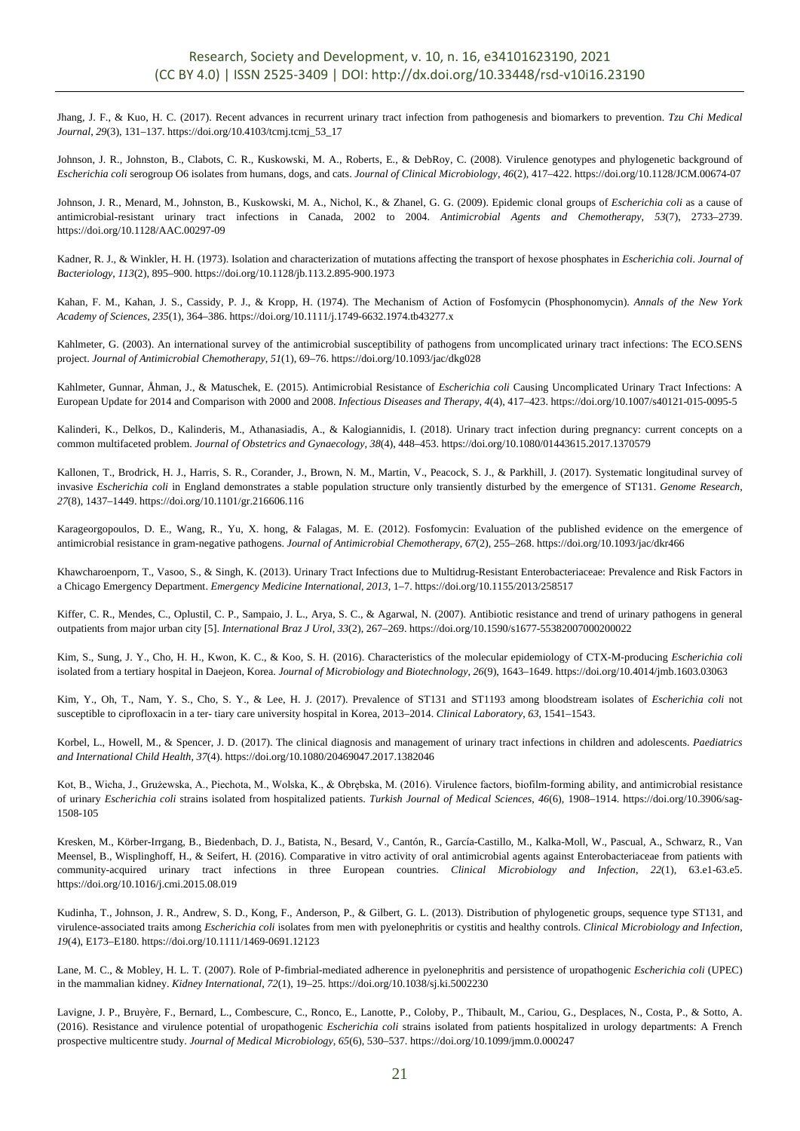Jhang, J. F., & Kuo, H. C. (2017). Recent advances in recurrent urinary tract infection from pathogenesis and biomarkers to prevention. *Tzu Chi Medical Journal*, *29*(3), 131–137. https://doi.org/10.4103/tcmj.tcmj\_53\_17

Johnson, J. R., Johnston, B., Clabots, C. R., Kuskowski, M. A., Roberts, E., & DebRoy, C. (2008). Virulence genotypes and phylogenetic background of *Escherichia coli* serogroup O6 isolates from humans, dogs, and cats. *Journal of Clinical Microbiology*, *46*(2), 417–422. https://doi.org/10.1128/JCM.00674-07

Johnson, J. R., Menard, M., Johnston, B., Kuskowski, M. A., Nichol, K., & Zhanel, G. G. (2009). Epidemic clonal groups of *Escherichia coli* as a cause of antimicrobial-resistant urinary tract infections in Canada, 2002 to 2004. *Antimicrobial Agents and Chemotherapy*, *53*(7), 2733–2739. https://doi.org/10.1128/AAC.00297-09

Kadner, R. J., & Winkler, H. H. (1973). Isolation and characterization of mutations affecting the transport of hexose phosphates in *Escherichia coli*. *Journal of Bacteriology*, *113*(2), 895–900. https://doi.org/10.1128/jb.113.2.895-900.1973

Kahan, F. M., Kahan, J. S., Cassidy, P. J., & Kropp, H. (1974). The Mechanism of Action of Fosfomycin (Phosphonomycin). *Annals of the New York Academy of Sciences*, *235*(1), 364–386. https://doi.org/10.1111/j.1749-6632.1974.tb43277.x

Kahlmeter, G. (2003). An international survey of the antimicrobial susceptibility of pathogens from uncomplicated urinary tract infections: The ECO.SENS project. *Journal of Antimicrobial Chemotherapy*, *51*(1), 69–76. https://doi.org/10.1093/jac/dkg028

Kahlmeter, Gunnar, Åhman, J., & Matuschek, E. (2015). Antimicrobial Resistance of *Escherichia coli* Causing Uncomplicated Urinary Tract Infections: A European Update for 2014 and Comparison with 2000 and 2008. *Infectious Diseases and Therapy*, *4*(4), 417–423. https://doi.org/10.1007/s40121-015-0095-5

Kalinderi, K., Delkos, D., Kalinderis, M., Athanasiadis, A., & Kalogiannidis, I. (2018). Urinary tract infection during pregnancy: current concepts on a common multifaceted problem. *Journal of Obstetrics and Gynaecology*, *38*(4), 448–453. https://doi.org/10.1080/01443615.2017.1370579

Kallonen, T., Brodrick, H. J., Harris, S. R., Corander, J., Brown, N. M., Martin, V., Peacock, S. J., & Parkhill, J. (2017). Systematic longitudinal survey of invasive *Escherichia coli* in England demonstrates a stable population structure only transiently disturbed by the emergence of ST131. *Genome Research*, *27*(8), 1437–1449. https://doi.org/10.1101/gr.216606.116

Karageorgopoulos, D. E., Wang, R., Yu, X. hong, & Falagas, M. E. (2012). Fosfomycin: Evaluation of the published evidence on the emergence of antimicrobial resistance in gram-negative pathogens. *Journal of Antimicrobial Chemotherapy*, *67*(2), 255–268. https://doi.org/10.1093/jac/dkr466

Khawcharoenporn, T., Vasoo, S., & Singh, K. (2013). Urinary Tract Infections due to Multidrug-Resistant Enterobacteriaceae: Prevalence and Risk Factors in a Chicago Emergency Department. *Emergency Medicine International*, *2013*, 1–7. https://doi.org/10.1155/2013/258517

Kiffer, C. R., Mendes, C., Oplustil, C. P., Sampaio, J. L., Arya, S. C., & Agarwal, N. (2007). Antibiotic resistance and trend of urinary pathogens in general outpatients from major urban city [5]. *International Braz J Urol*, *33*(2), 267–269. https://doi.org/10.1590/s1677-55382007000200022

Kim, S., Sung, J. Y., Cho, H. H., Kwon, K. C., & Koo, S. H. (2016). Characteristics of the molecular epidemiology of CTX-M-producing *Escherichia coli* isolated from a tertiary hospital in Daejeon, Korea. *Journal of Microbiology and Biotechnology*, *26*(9), 1643–1649. https://doi.org/10.4014/jmb.1603.03063

Kim, Y., Oh, T., Nam, Y. S., Cho, S. Y., & Lee, H. J. (2017). Prevalence of ST131 and ST1193 among bloodstream isolates of *Escherichia coli* not susceptible to ciprofloxacin in a ter- tiary care university hospital in Korea, 2013–2014. *Clinical Laboratory*, *63*, 1541–1543.

Korbel, L., Howell, M., & Spencer, J. D. (2017). The clinical diagnosis and management of urinary tract infections in children and adolescents. *Paediatrics and International Child Health*, *37*(4). https://doi.org/10.1080/20469047.2017.1382046

Kot, B., Wicha, J., Grużewska, A., Piechota, M., Wolska, K., & Obrębska, M. (2016). Virulence factors, biofilm-forming ability, and antimicrobial resistance of urinary *Escherichia coli* strains isolated from hospitalized patients. *Turkish Journal of Medical Sciences*, *46*(6), 1908–1914. https://doi.org/10.3906/sag-1508-105

Kresken, M., Körber-Irrgang, B., Biedenbach, D. J., Batista, N., Besard, V., Cantón, R., García-Castillo, M., Kalka-Moll, W., Pascual, A., Schwarz, R., Van Meensel, B., Wisplinghoff, H., & Seifert, H. (2016). Comparative in vitro activity of oral antimicrobial agents against Enterobacteriaceae from patients with community-acquired urinary tract infections in three European countries. *Clinical Microbiology and Infection*, *22*(1), 63.e1-63.e5. https://doi.org/10.1016/j.cmi.2015.08.019

Kudinha, T., Johnson, J. R., Andrew, S. D., Kong, F., Anderson, P., & Gilbert, G. L. (2013). Distribution of phylogenetic groups, sequence type ST131, and virulence-associated traits among *Escherichia coli* isolates from men with pyelonephritis or cystitis and healthy controls. *Clinical Microbiology and Infection*, *19*(4), E173–E180. https://doi.org/10.1111/1469-0691.12123

Lane, M. C., & Mobley, H. L. T. (2007). Role of P-fimbrial-mediated adherence in pyelonephritis and persistence of uropathogenic *Escherichia coli* (UPEC) in the mammalian kidney. *Kidney International*, *72*(1), 19–25. https://doi.org/10.1038/sj.ki.5002230

Lavigne, J. P., Bruyère, F., Bernard, L., Combescure, C., Ronco, E., Lanotte, P., Coloby, P., Thibault, M., Cariou, G., Desplaces, N., Costa, P., & Sotto, A. (2016). Resistance and virulence potential of uropathogenic *Escherichia coli* strains isolated from patients hospitalized in urology departments: A French prospective multicentre study. *Journal of Medical Microbiology*, *65*(6), 530–537. https://doi.org/10.1099/jmm.0.000247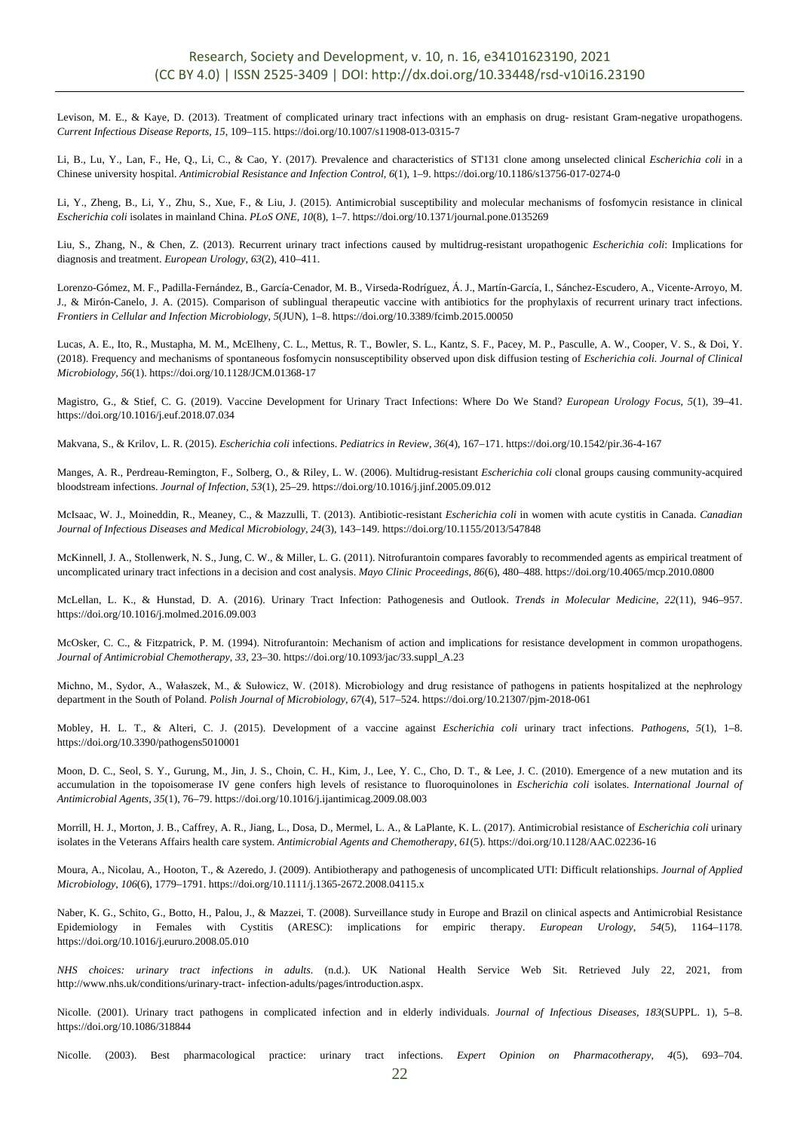Levison, M. E., & Kaye, D. (2013). Treatment of complicated urinary tract infections with an emphasis on drug- resistant Gram-negative uropathogens. *Current Infectious Disease Reports*, *15*, 109–115. https://doi.org/10.1007/s11908-013-0315-7

Li, B., Lu, Y., Lan, F., He, Q., Li, C., & Cao, Y. (2017). Prevalence and characteristics of ST131 clone among unselected clinical *Escherichia coli* in a Chinese university hospital. *Antimicrobial Resistance and Infection Control*, *6*(1), 1–9. https://doi.org/10.1186/s13756-017-0274-0

Li, Y., Zheng, B., Li, Y., Zhu, S., Xue, F., & Liu, J. (2015). Antimicrobial susceptibility and molecular mechanisms of fosfomycin resistance in clinical *Escherichia coli* isolates in mainland China. *PLoS ONE*, *10*(8), 1–7. https://doi.org/10.1371/journal.pone.0135269

Liu, S., Zhang, N., & Chen, Z. (2013). Recurrent urinary tract infections caused by multidrug-resistant uropathogenic *Escherichia coli*: Implications for diagnosis and treatment. *European Urology*, *63*(2), 410–411.

Lorenzo-Gómez, M. F., Padilla-Fernández, B., García-Cenador, M. B., Virseda-Rodríguez, Á. J., Martín-García, I., Sánchez-Escudero, A., Vicente-Arroyo, M. J., & Mirón-Canelo, J. A. (2015). Comparison of sublingual therapeutic vaccine with antibiotics for the prophylaxis of recurrent urinary tract infections. *Frontiers in Cellular and Infection Microbiology*, *5*(JUN), 1–8. https://doi.org/10.3389/fcimb.2015.00050

Lucas, A. E., Ito, R., Mustapha, M. M., McElheny, C. L., Mettus, R. T., Bowler, S. L., Kantz, S. F., Pacey, M. P., Pasculle, A. W., Cooper, V. S., & Doi, Y. (2018). Frequency and mechanisms of spontaneous fosfomycin nonsusceptibility observed upon disk diffusion testing of *Escherichia coli. Journal of Clinical Microbiology*, *56*(1). https://doi.org/10.1128/JCM.01368-17

Magistro, G., & Stief, C. G. (2019). Vaccine Development for Urinary Tract Infections: Where Do We Stand? *European Urology Focus*, *5*(1), 39–41. https://doi.org/10.1016/j.euf.2018.07.034

Makvana, S., & Krilov, L. R. (2015). *Escherichia coli* infections. *Pediatrics in Review*, *36*(4), 167–171. https://doi.org/10.1542/pir.36-4-167

Manges, A. R., Perdreau-Remington, F., Solberg, O., & Riley, L. W. (2006). Multidrug-resistant *Escherichia coli* clonal groups causing community-acquired bloodstream infections. *Journal of Infection*, *53*(1), 25–29. https://doi.org/10.1016/j.jinf.2005.09.012

McIsaac, W. J., Moineddin, R., Meaney, C., & Mazzulli, T. (2013). Antibiotic-resistant *Escherichia coli* in women with acute cystitis in Canada. *Canadian Journal of Infectious Diseases and Medical Microbiology*, *24*(3), 143–149. https://doi.org/10.1155/2013/547848

McKinnell, J. A., Stollenwerk, N. S., Jung, C. W., & Miller, L. G. (2011). Nitrofurantoin compares favorably to recommended agents as empirical treatment of uncomplicated urinary tract infections in a decision and cost analysis. *Mayo Clinic Proceedings*, *86*(6), 480–488. https://doi.org/10.4065/mcp.2010.0800

McLellan, L. K., & Hunstad, D. A. (2016). Urinary Tract Infection: Pathogenesis and Outlook. *Trends in Molecular Medicine*, *22*(11), 946–957. https://doi.org/10.1016/j.molmed.2016.09.003

McOsker, C. C., & Fitzpatrick, P. M. (1994). Nitrofurantoin: Mechanism of action and implications for resistance development in common uropathogens. *Journal of Antimicrobial Chemotherapy*, *33*, 23–30. https://doi.org/10.1093/jac/33.suppl\_A.23

Michno, M., Sydor, A., Wałaszek, M., & Sułowicz, W. (2018). Microbiology and drug resistance of pathogens in patients hospitalized at the nephrology department in the South of Poland. *Polish Journal of Microbiology*, *67*(4), 517–524. https://doi.org/10.21307/pjm-2018-061

Mobley, H. L. T., & Alteri, C. J. (2015). Development of a vaccine against *Escherichia coli* urinary tract infections. *Pathogens*, *5*(1), 1–8. https://doi.org/10.3390/pathogens5010001

Moon, D. C., Seol, S. Y., Gurung, M., Jin, J. S., Choin, C. H., Kim, J., Lee, Y. C., Cho, D. T., & Lee, J. C. (2010). Emergence of a new mutation and its accumulation in the topoisomerase IV gene confers high levels of resistance to fluoroquinolones in *Escherichia coli* isolates. *International Journal of Antimicrobial Agents*, *35*(1), 76–79. https://doi.org/10.1016/j.ijantimicag.2009.08.003

Morrill, H. J., Morton, J. B., Caffrey, A. R., Jiang, L., Dosa, D., Mermel, L. A., & LaPlante, K. L. (2017). Antimicrobial resistance of *Escherichia coli* urinary isolates in the Veterans Affairs health care system. *Antimicrobial Agents and Chemotherapy*, *61*(5). https://doi.org/10.1128/AAC.02236-16

Moura, A., Nicolau, A., Hooton, T., & Azeredo, J. (2009). Antibiotherapy and pathogenesis of uncomplicated UTI: Difficult relationships. *Journal of Applied Microbiology*, *106*(6), 1779–1791. https://doi.org/10.1111/j.1365-2672.2008.04115.x

Naber, K. G., Schito, G., Botto, H., Palou, J., & Mazzei, T. (2008). Surveillance study in Europe and Brazil on clinical aspects and Antimicrobial Resistance Epidemiology in Females with Cystitis (ARESC): implications for empiric therapy. *European Urology*, *54*(5), 1164–1178. https://doi.org/10.1016/j.eururo.2008.05.010

*NHS choices: urinary tract infections in adults*. (n.d.). UK National Health Service Web Sit. Retrieved July 22, 2021, from http://www.nhs.uk/conditions/urinary-tract- infection-adults/pages/introduction.aspx.

Nicolle. (2001). Urinary tract pathogens in complicated infection and in elderly individuals. *Journal of Infectious Diseases*, *183*(SUPPL. 1), 5–8. https://doi.org/10.1086/318844

Nicolle. (2003). Best pharmacological practice: urinary tract infections. *Expert Opinion on Pharmacotherapy*, *4*(5), 693–704.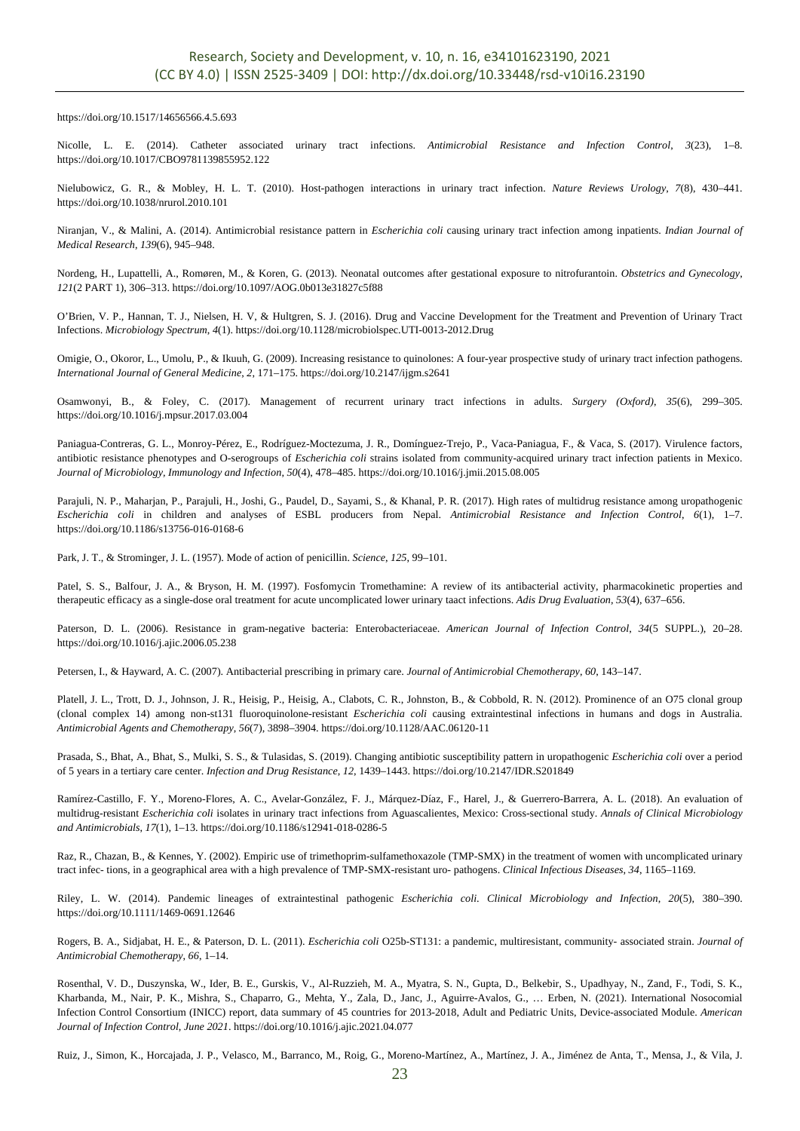https://doi.org/10.1517/14656566.4.5.693

Nicolle, L. E. (2014). Catheter associated urinary tract infections. *Antimicrobial Resistance and Infection Control*, *3*(23), 1–8. https://doi.org/10.1017/CBO9781139855952.122

Nielubowicz, G. R., & Mobley, H. L. T. (2010). Host-pathogen interactions in urinary tract infection. *Nature Reviews Urology*, *7*(8), 430–441. https://doi.org/10.1038/nrurol.2010.101

Niranjan, V., & Malini, A. (2014). Antimicrobial resistance pattern in *Escherichia coli* causing urinary tract infection among inpatients. *Indian Journal of Medical Research*, *139*(6), 945–948.

Nordeng, H., Lupattelli, A., Romøren, M., & Koren, G. (2013). Neonatal outcomes after gestational exposure to nitrofurantoin. *Obstetrics and Gynecology*, *121*(2 PART 1), 306–313. https://doi.org/10.1097/AOG.0b013e31827c5f88

O'Brien, V. P., Hannan, T. J., Nielsen, H. V, & Hultgren, S. J. (2016). Drug and Vaccine Development for the Treatment and Prevention of Urinary Tract Infections. *Microbiology Spectrum*, *4*(1). https://doi.org/10.1128/microbiolspec.UTI-0013-2012.Drug

Omigie, O., Okoror, L., Umolu, P., & Ikuuh, G. (2009). Increasing resistance to quinolones: A four-year prospective study of urinary tract infection pathogens. *International Journal of General Medicine*, *2*, 171–175. https://doi.org/10.2147/ijgm.s2641

Osamwonyi, B., & Foley, C. (2017). Management of recurrent urinary tract infections in adults. *Surgery (Oxford)*, *35*(6), 299–305. https://doi.org/10.1016/j.mpsur.2017.03.004

Paniagua-Contreras, G. L., Monroy-Pérez, E., Rodríguez-Moctezuma, J. R., Domínguez-Trejo, P., Vaca-Paniagua, F., & Vaca, S. (2017). Virulence factors, antibiotic resistance phenotypes and O-serogroups of *Escherichia coli* strains isolated from community-acquired urinary tract infection patients in Mexico. *Journal of Microbiology, Immunology and Infection*, *50*(4), 478–485. https://doi.org/10.1016/j.jmii.2015.08.005

Parajuli, N. P., Maharjan, P., Parajuli, H., Joshi, G., Paudel, D., Sayami, S., & Khanal, P. R. (2017). High rates of multidrug resistance among uropathogenic *Escherichia coli* in children and analyses of ESBL producers from Nepal. *Antimicrobial Resistance and Infection Control*, *6*(1), 1–7. https://doi.org/10.1186/s13756-016-0168-6

Park, J. T., & Strominger, J. L. (1957). Mode of action of penicillin. *Science*, *125*, 99–101.

Patel, S. S., Balfour, J. A., & Bryson, H. M. (1997). Fosfomycin Tromethamine: A review of its antibacterial activity, pharmacokinetic properties and therapeutic efficacy as a single-dose oral treatment for acute uncomplicated lower urinary taact infections. *Adis Drug Evaluation*, *53*(4), 637–656.

Paterson, D. L. (2006). Resistance in gram-negative bacteria: Enterobacteriaceae. *American Journal of Infection Control*, *34*(5 SUPPL.), 20–28. https://doi.org/10.1016/j.ajic.2006.05.238

Petersen, I., & Hayward, A. C. (2007). Antibacterial prescribing in primary care. *Journal of Antimicrobial Chemotherapy*, *60*, 143–147.

Platell, J. L., Trott, D. J., Johnson, J. R., Heisig, P., Heisig, A., Clabots, C. R., Johnston, B., & Cobbold, R. N. (2012). Prominence of an O75 clonal group (clonal complex 14) among non-st131 fluoroquinolone-resistant *Escherichia coli* causing extraintestinal infections in humans and dogs in Australia. *Antimicrobial Agents and Chemotherapy*, *56*(7), 3898–3904. https://doi.org/10.1128/AAC.06120-11

Prasada, S., Bhat, A., Bhat, S., Mulki, S. S., & Tulasidas, S. (2019). Changing antibiotic susceptibility pattern in uropathogenic *Escherichia coli* over a period of 5 years in a tertiary care center. *Infection and Drug Resistance*, *12*, 1439–1443. https://doi.org/10.2147/IDR.S201849

Ramírez-Castillo, F. Y., Moreno-Flores, A. C., Avelar-González, F. J., Márquez-Díaz, F., Harel, J., & Guerrero-Barrera, A. L. (2018). An evaluation of multidrug-resistant *Escherichia coli* isolates in urinary tract infections from Aguascalientes, Mexico: Cross-sectional study. *Annals of Clinical Microbiology and Antimicrobials*, *17*(1), 1–13. https://doi.org/10.1186/s12941-018-0286-5

Raz, R., Chazan, B., & Kennes, Y. (2002). Empiric use of trimethoprim-sulfamethoxazole (TMP-SMX) in the treatment of women with uncomplicated urinary tract infec- tions, in a geographical area with a high prevalence of TMP-SMX-resistant uro- pathogens. *Clinical Infectious Diseases*, *34*, 1165–1169.

Riley, L. W. (2014). Pandemic lineages of extraintestinal pathogenic *Escherichia coli*. *Clinical Microbiology and Infection*, *20*(5), 380–390. https://doi.org/10.1111/1469-0691.12646

Rogers, B. A., Sidjabat, H. E., & Paterson, D. L. (2011). *Escherichia coli* O25b-ST131: a pandemic, multiresistant, community- associated strain. *Journal of Antimicrobial Chemotherapy*, *66*, 1–14.

Rosenthal, V. D., Duszynska, W., Ider, B. E., Gurskis, V., Al-Ruzzieh, M. A., Myatra, S. N., Gupta, D., Belkebir, S., Upadhyay, N., Zand, F., Todi, S. K., Kharbanda, M., Nair, P. K., Mishra, S., Chaparro, G., Mehta, Y., Zala, D., Janc, J., Aguirre-Avalos, G., … Erben, N. (2021). International Nosocomial Infection Control Consortium (INICC) report, data summary of 45 countries for 2013-2018, Adult and Pediatric Units, Device-associated Module. *American Journal of Infection Control*, *June 2021*. https://doi.org/10.1016/j.ajic.2021.04.077

Ruiz, J., Simon, K., Horcajada, J. P., Velasco, M., Barranco, M., Roig, G., Moreno-Martínez, A., Martínez, J. A., Jiménez de Anta, T., Mensa, J., & Vila, J.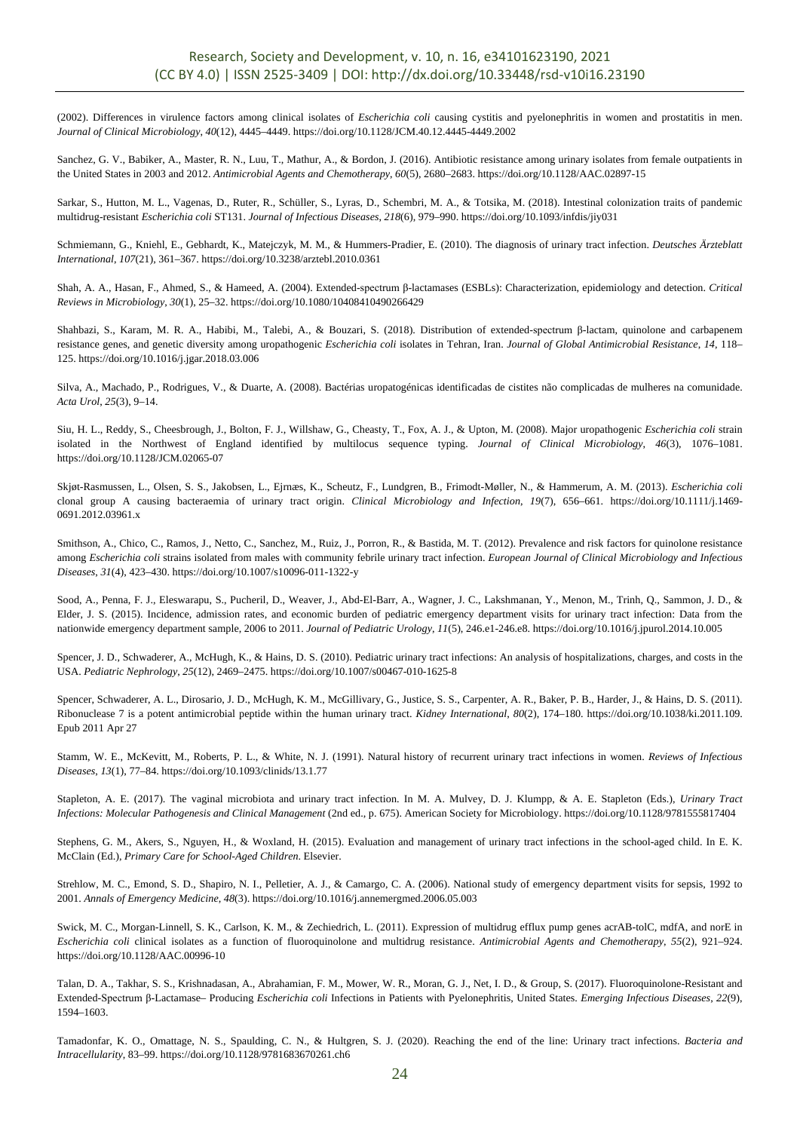(2002). Differences in virulence factors among clinical isolates of *Escherichia coli* causing cystitis and pyelonephritis in women and prostatitis in men. *Journal of Clinical Microbiology*, *40*(12), 4445–4449. https://doi.org/10.1128/JCM.40.12.4445-4449.2002

Sanchez, G. V., Babiker, A., Master, R. N., Luu, T., Mathur, A., & Bordon, J. (2016). Antibiotic resistance among urinary isolates from female outpatients in the United States in 2003 and 2012. *Antimicrobial Agents and Chemotherapy*, *60*(5), 2680–2683. https://doi.org/10.1128/AAC.02897-15

Sarkar, S., Hutton, M. L., Vagenas, D., Ruter, R., Schüller, S., Lyras, D., Schembri, M. A., & Totsika, M. (2018). Intestinal colonization traits of pandemic multidrug-resistant *Escherichia coli* ST131. *Journal of Infectious Diseases*, *218*(6), 979–990. https://doi.org/10.1093/infdis/jiy031

Schmiemann, G., Kniehl, E., Gebhardt, K., Matejczyk, M. M., & Hummers-Pradier, E. (2010). The diagnosis of urinary tract infection. *Deutsches Ärzteblatt International*, *107*(21), 361–367. https://doi.org/10.3238/arztebl.2010.0361

Shah, A. A., Hasan, F., Ahmed, S., & Hameed, A. (2004). Extended-spectrum β-lactamases (ESBLs): Characterization, epidemiology and detection. *Critical Reviews in Microbiology*, *30*(1), 25–32. https://doi.org/10.1080/10408410490266429

Shahbazi, S., Karam, M. R. A., Habibi, M., Talebi, A., & Bouzari, S. (2018). Distribution of extended-spectrum β-lactam, quinolone and carbapenem resistance genes, and genetic diversity among uropathogenic *Escherichia coli* isolates in Tehran, Iran. *Journal of Global Antimicrobial Resistance*, *14*, 118– 125. https://doi.org/10.1016/j.jgar.2018.03.006

Silva, A., Machado, P., Rodrigues, V., & Duarte, A. (2008). Bactérias uropatogénicas identificadas de cistites não complicadas de mulheres na comunidade. *Acta Urol*, *25*(3), 9–14.

Siu, H. L., Reddy, S., Cheesbrough, J., Bolton, F. J., Willshaw, G., Cheasty, T., Fox, A. J., & Upton, M. (2008). Major uropathogenic *Escherichia coli* strain isolated in the Northwest of England identified by multilocus sequence typing. *Journal of Clinical Microbiology*, *46*(3), 1076–1081. https://doi.org/10.1128/JCM.02065-07

Skjøt-Rasmussen, L., Olsen, S. S., Jakobsen, L., Ejrnæs, K., Scheutz, F., Lundgren, B., Frimodt-Møller, N., & Hammerum, A. M. (2013). *Escherichia coli* clonal group A causing bacteraemia of urinary tract origin. *Clinical Microbiology and Infection*, *19*(7), 656–661. https://doi.org/10.1111/j.1469- 0691.2012.03961.x

Smithson, A., Chico, C., Ramos, J., Netto, C., Sanchez, M., Ruiz, J., Porron, R., & Bastida, M. T. (2012). Prevalence and risk factors for quinolone resistance among *Escherichia coli* strains isolated from males with community febrile urinary tract infection. *European Journal of Clinical Microbiology and Infectious Diseases*, *31*(4), 423–430. https://doi.org/10.1007/s10096-011-1322-y

Sood, A., Penna, F. J., Eleswarapu, S., Pucheril, D., Weaver, J., Abd-El-Barr, A., Wagner, J. C., Lakshmanan, Y., Menon, M., Trinh, Q., Sammon, J. D., & Elder, J. S. (2015). Incidence, admission rates, and economic burden of pediatric emergency department visits for urinary tract infection: Data from the nationwide emergency department sample, 2006 to 2011. *Journal of Pediatric Urology*, *11*(5), 246.e1-246.e8. https://doi.org/10.1016/j.jpurol.2014.10.005

Spencer, J. D., Schwaderer, A., McHugh, K., & Hains, D. S. (2010). Pediatric urinary tract infections: An analysis of hospitalizations, charges, and costs in the USA. *Pediatric Nephrology*, *25*(12), 2469–2475. https://doi.org/10.1007/s00467-010-1625-8

Spencer, Schwaderer, A. L., Dirosario, J. D., McHugh, K. M., McGillivary, G., Justice, S. S., Carpenter, A. R., Baker, P. B., Harder, J., & Hains, D. S. (2011). Ribonuclease 7 is a potent antimicrobial peptide within the human urinary tract. *Kidney International*, *80*(2), 174–180. https://doi.org/10.1038/ki.2011.109. Epub 2011 Apr 27

Stamm, W. E., McKevitt, M., Roberts, P. L., & White, N. J. (1991). Natural history of recurrent urinary tract infections in women. *Reviews of Infectious Diseases*, *13*(1), 77–84. https://doi.org/10.1093/clinids/13.1.77

Stapleton, A. E. (2017). The vaginal microbiota and urinary tract infection. In M. A. Mulvey, D. J. Klumpp, & A. E. Stapleton (Eds.), *Urinary Tract Infections: Molecular Pathogenesis and Clinical Management* (2nd ed., p. 675). American Society for Microbiology. https://doi.org/10.1128/9781555817404

Stephens, G. M., Akers, S., Nguyen, H., & Woxland, H. (2015). Evaluation and management of urinary tract infections in the school-aged child. In E. K. McClain (Ed.), *Primary Care for School-Aged Children*. Elsevier.

Strehlow, M. C., Emond, S. D., Shapiro, N. I., Pelletier, A. J., & Camargo, C. A. (2006). National study of emergency department visits for sepsis, 1992 to 2001. *Annals of Emergency Medicine*, *48*(3). https://doi.org/10.1016/j.annemergmed.2006.05.003

Swick, M. C., Morgan-Linnell, S. K., Carlson, K. M., & Zechiedrich, L. (2011). Expression of multidrug efflux pump genes acrAB-tolC, mdfA, and norE in *Escherichia coli* clinical isolates as a function of fluoroquinolone and multidrug resistance. *Antimicrobial Agents and Chemotherapy*, *55*(2), 921–924. https://doi.org/10.1128/AAC.00996-10

Talan, D. A., Takhar, S. S., Krishnadasan, A., Abrahamian, F. M., Mower, W. R., Moran, G. J., Net, I. D., & Group, S. (2017). Fluoroquinolone-Resistant and Extended-Spectrum β-Lactamase– Producing *Escherichia coli* Infections in Patients with Pyelonephritis, United States. *Emerging Infectious Diseases*, *22*(9), 1594–1603.

Tamadonfar, K. O., Omattage, N. S., Spaulding, C. N., & Hultgren, S. J. (2020). Reaching the end of the line: Urinary tract infections. *Bacteria and Intracellularity*, 83–99. https://doi.org/10.1128/9781683670261.ch6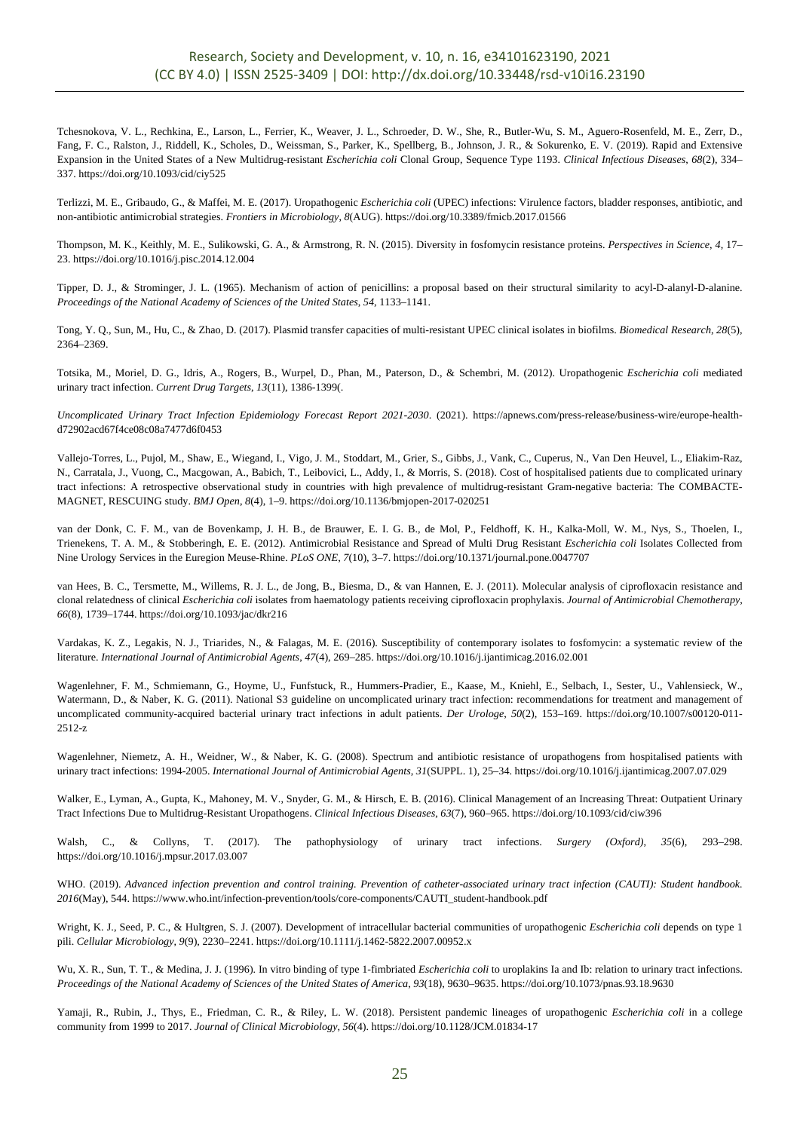Tchesnokova, V. L., Rechkina, E., Larson, L., Ferrier, K., Weaver, J. L., Schroeder, D. W., She, R., Butler-Wu, S. M., Aguero-Rosenfeld, M. E., Zerr, D., Fang, F. C., Ralston, J., Riddell, K., Scholes, D., Weissman, S., Parker, K., Spellberg, B., Johnson, J. R., & Sokurenko, E. V. (2019). Rapid and Extensive Expansion in the United States of a New Multidrug-resistant *Escherichia coli* Clonal Group, Sequence Type 1193. *Clinical Infectious Diseases*, *68*(2), 334– 337. https://doi.org/10.1093/cid/ciy525

Terlizzi, M. E., Gribaudo, G., & Maffei, M. E. (2017). Uropathogenic *Escherichia coli* (UPEC) infections: Virulence factors, bladder responses, antibiotic, and non-antibiotic antimicrobial strategies. *Frontiers in Microbiology*, *8*(AUG). https://doi.org/10.3389/fmicb.2017.01566

Thompson, M. K., Keithly, M. E., Sulikowski, G. A., & Armstrong, R. N. (2015). Diversity in fosfomycin resistance proteins. *Perspectives in Science*, *4*, 17– 23. https://doi.org/10.1016/j.pisc.2014.12.004

Tipper, D. J., & Strominger, J. L. (1965). Mechanism of action of penicillins: a proposal based on their structural similarity to acyl-D-alanyl-D-alanine. *Proceedings of the National Academy of Sciences of the United States*, *54*, 1133–1141.

Tong, Y. Q., Sun, M., Hu, C., & Zhao, D. (2017). Plasmid transfer capacities of multi-resistant UPEC clinical isolates in biofilms. *Biomedical Research*, *28*(5), 2364–2369.

Totsika, M., Moriel, D. G., Idris, A., Rogers, B., Wurpel, D., Phan, M., Paterson, D., & Schembri, M. (2012). Uropathogenic *Escherichia coli* mediated urinary tract infection. *Current Drug Targets*, *13*(11), 1386-1399(.

*Uncomplicated Urinary Tract Infection Epidemiology Forecast Report 2021-2030*. (2021). https://apnews.com/press-release/business-wire/europe-healthd72902acd67f4ce08c08a7477d6f0453

Vallejo-Torres, L., Pujol, M., Shaw, E., Wiegand, I., Vigo, J. M., Stoddart, M., Grier, S., Gibbs, J., Vank, C., Cuperus, N., Van Den Heuvel, L., Eliakim-Raz, N., Carratala, J., Vuong, C., Macgowan, A., Babich, T., Leibovici, L., Addy, I., & Morris, S. (2018). Cost of hospitalised patients due to complicated urinary tract infections: A retrospective observational study in countries with high prevalence of multidrug-resistant Gram-negative bacteria: The COMBACTE-MAGNET, RESCUING study. *BMJ Open*, *8*(4), 1–9. https://doi.org/10.1136/bmjopen-2017-020251

van der Donk, C. F. M., van de Bovenkamp, J. H. B., de Brauwer, E. I. G. B., de Mol, P., Feldhoff, K. H., Kalka-Moll, W. M., Nys, S., Thoelen, I., Trienekens, T. A. M., & Stobberingh, E. E. (2012). Antimicrobial Resistance and Spread of Multi Drug Resistant *Escherichia coli* Isolates Collected from Nine Urology Services in the Euregion Meuse-Rhine. *PLoS ONE*, *7*(10), 3–7. https://doi.org/10.1371/journal.pone.0047707

van Hees, B. C., Tersmette, M., Willems, R. J. L., de Jong, B., Biesma, D., & van Hannen, E. J. (2011). Molecular analysis of ciprofloxacin resistance and clonal relatedness of clinical *Escherichia coli* isolates from haematology patients receiving ciprofloxacin prophylaxis. *Journal of Antimicrobial Chemotherapy*, *66*(8), 1739–1744. https://doi.org/10.1093/jac/dkr216

Vardakas, K. Z., Legakis, N. J., Triarides, N., & Falagas, M. E. (2016). Susceptibility of contemporary isolates to fosfomycin: a systematic review of the literature. *International Journal of Antimicrobial Agents*, *47*(4), 269–285. https://doi.org/10.1016/j.ijantimicag.2016.02.001

Wagenlehner, F. M., Schmiemann, G., Hoyme, U., Funfstuck, R., Hummers-Pradier, E., Kaase, M., Kniehl, E., Selbach, I., Sester, U., Vahlensieck, W., Watermann, D., & Naber, K. G. (2011). National S3 guideline on uncomplicated urinary tract infection: recommendations for treatment and management of uncomplicated community-acquired bacterial urinary tract infections in adult patients. *Der Urologe*, *50*(2), 153–169. https://doi.org/10.1007/s00120-011- 2512-z

Wagenlehner, Niemetz, A. H., Weidner, W., & Naber, K. G. (2008). Spectrum and antibiotic resistance of uropathogens from hospitalised patients with urinary tract infections: 1994-2005. *International Journal of Antimicrobial Agents*, *31*(SUPPL. 1), 25–34. https://doi.org/10.1016/j.ijantimicag.2007.07.029

Walker, E., Lyman, A., Gupta, K., Mahoney, M. V., Snyder, G. M., & Hirsch, E. B. (2016). Clinical Management of an Increasing Threat: Outpatient Urinary Tract Infections Due to Multidrug-Resistant Uropathogens. *Clinical Infectious Diseases*, *63*(7), 960–965. https://doi.org/10.1093/cid/ciw396

Walsh, C., & Collyns, T. (2017). The pathophysiology of urinary tract infections. *Surgery (Oxford)*, *35*(6), 293–298. https://doi.org/10.1016/j.mpsur.2017.03.007

WHO. (2019). *Advanced infection prevention and control training. Prevention of catheter-associated urinary tract infection (CAUTI): Student handbook. 2016*(May), 544. https://www.who.int/infection-prevention/tools/core-components/CAUTI\_student-handbook.pdf

Wright, K. J., Seed, P. C., & Hultgren, S. J. (2007). Development of intracellular bacterial communities of uropathogenic *Escherichia coli* depends on type 1 pili. *Cellular Microbiology*, *9*(9), 2230–2241. https://doi.org/10.1111/j.1462-5822.2007.00952.x

Wu, X. R., Sun, T. T., & Medina, J. J. (1996). In vitro binding of type 1-fimbriated *Escherichia coli* to uroplakins Ia and Ib: relation to urinary tract infections. *Proceedings of the National Academy of Sciences of the United States of America*, *93*(18), 9630–9635. https://doi.org/10.1073/pnas.93.18.9630

Yamaji, R., Rubin, J., Thys, E., Friedman, C. R., & Riley, L. W. (2018). Persistent pandemic lineages of uropathogenic *Escherichia coli* in a college community from 1999 to 2017. *Journal of Clinical Microbiology*, *56*(4). https://doi.org/10.1128/JCM.01834-17